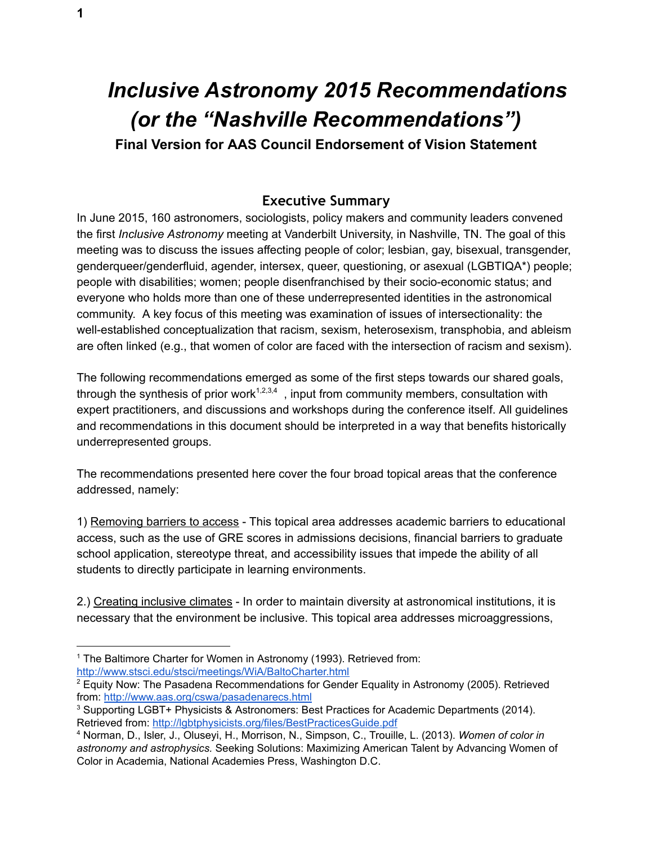# *Inclusive Astronomy 2015 Recommendations (or the "Nashville Recommendations")*

**Final Version for AAS Council Endorsement of Vision Statement**

## **Executive Summary**

<span id="page-0-0"></span>In June 2015, 160 astronomers, sociologists, policy makers and community leaders convened the first *Inclusive Astronomy* meeting at Vanderbilt University, in Nashville, TN. The goal of this meeting was to discuss the issues affecting people of color; lesbian, gay, bisexual, transgender, genderqueer/genderfluid, agender, intersex, queer, questioning, or asexual (LGBTIQA\*) people; people with disabilities; women; people disenfranchised by their socio-economic status; and everyone who holds more than one of these underrepresented identities in the astronomical community. A key focus of this meeting was examination of issues of intersectionality: the well-established conceptualization that racism, sexism, heterosexism, transphobia, and ableism are often linked (e.g., that women of color are faced with the intersection of racism and sexism).

The following recommendations emerged as some of the first steps towards our shared goals, through the synthesis of prior work<sup>1,2,3,4</sup>, input from community members, consultation with expert practitioners, and discussions and workshops during the conference itself. All guidelines and recommendations in this document should be interpreted in a way that benefits historically underrepresented groups.

The recommendations presented here cover the four broad topical areas that the conference addressed, namely:

1) Removing barriers to access - This topical area addresses academic barriers to educational access, such as the use of GRE scores in admissions decisions, financial barriers to graduate school application, stereotype threat, and accessibility issues that impede the ability of all students to directly participate in learning environments.

2.) Creating inclusive climates - In order to maintain diversity at astronomical institutions, it is necessary that the environment be inclusive. This topical area addresses microaggressions,

- <sup>1</sup> The Baltimore Charter for Women in Astronomy (1993). Retrieved from: <http://www.stsci.edu/stsci/meetings/WiA/BaltoCharter.html>
- $2$  Equity Now: The Pasadena Recommendations for Gender Equality in Astronomy (2005). Retrieved from: <http://www.aas.org/cswa/pasadenarecs.html>

<sup>3</sup> Supporting LGBT+ Physicists & Astronomers: Best Practices for Academic Departments (2014). Retrieved from: <http://lgbtphysicists.org/files/BestPracticesGuide.pdf>

<sup>4</sup> Norman, D., Isler, J., Oluseyi, H., Morrison, N., Simpson, C., Trouille, L. (2013). *Women of color in astronomy and astrophysics.* Seeking Solutions: Maximizing American Talent by Advancing Women of Color in Academia, National Academies Press, Washington D.C.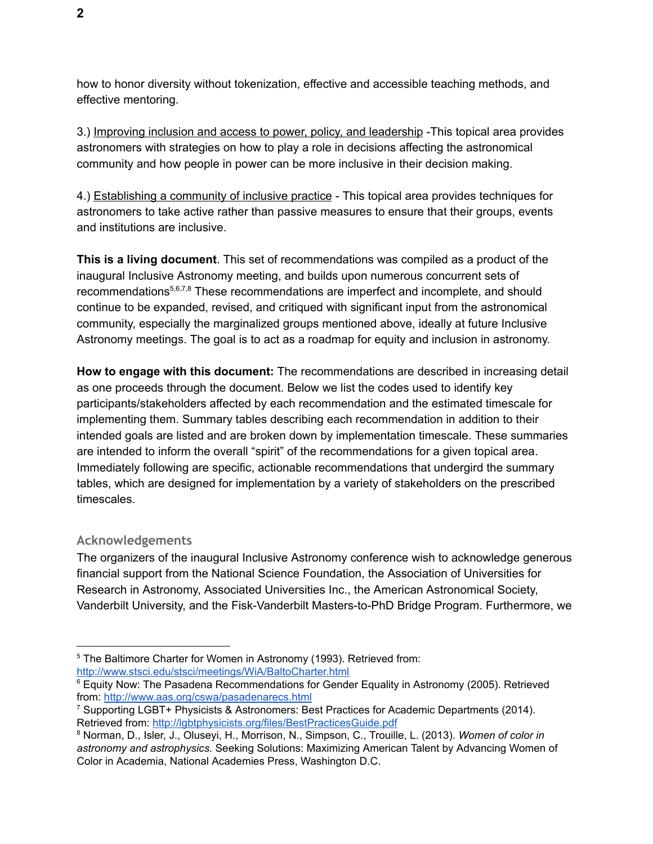how to honor diversity without tokenization, effective and accessible teaching methods, and effective mentoring.

3.) Improving inclusion and access to power, policy, and leadership -This topical area provides astronomers with strategies on how to play a role in decisions affecting the astronomical community and how people in power can be more inclusive in their decision making.

4.) Establishing a community of inclusive practice - This topical area provides techniques for astronomers to take active rather than passive measures to ensure that their groups, events and institutions are inclusive.

**This is a living document**. This set of recommendations was compiled as a product of the inaugural Inclusive Astronomy meeting, and builds upon numerous concurrent sets of recommendations<sup>5,6,7,8</sup> These recommendations are imperfect and incomplete, and should continue to be expanded, revised, and critiqued with significant input from the astronomical community, especially the marginalized groups mentioned above, ideally at future Inclusive Astronomy meetings. The goal is to act as a roadmap for equity and inclusion in astronomy.

**How to engage with this document:** The recommendations are described in increasing detail as one proceeds through the document. Below we list the codes used to identify key participants/stakeholders affected by each recommendation and the estimated timescale for implementing them. Summary tables describing each recommendation in addition to their intended goals are listed and are broken down by implementation timescale. These summaries are intended to inform the overall "spirit" of the recommendations for a given topical area. Immediately following are specific, actionable recommendations that undergird the summary tables, which are designed for implementation by a variety of stakeholders on the prescribed timescales.

## <span id="page-1-0"></span>**Acknowledgements**

The organizers of the inaugural Inclusive Astronomy conference wish to acknowledge generous financial support from the National Science Foundation, the Association of Universities for Research in Astronomy, Associated Universities Inc., the American Astronomical Society, Vanderbilt University, and the Fisk-Vanderbilt Masters-to-PhD Bridge Program. Furthermore, we

<sup>&</sup>lt;sup>5</sup> The Baltimore Charter for Women in Astronomy (1993). Retrieved from: <http://www.stsci.edu/stsci/meetings/WiA/BaltoCharter.html>

 $6$  Equity Now: The Pasadena Recommendations for Gender Equality in Astronomy (2005). Retrieved from: <http://www.aas.org/cswa/pasadenarecs.html>

<sup>7</sup> Supporting LGBT+ Physicists & Astronomers: Best Practices for Academic Departments (2014). Retrieved from: <http://lgbtphysicists.org/files/BestPracticesGuide.pdf>

<sup>8</sup> Norman, D., Isler, J., Oluseyi, H., Morrison, N., Simpson, C., Trouille, L. (2013). *Women of color in astronomy and astrophysics.* Seeking Solutions: Maximizing American Talent by Advancing Women of Color in Academia, National Academies Press, Washington D.C.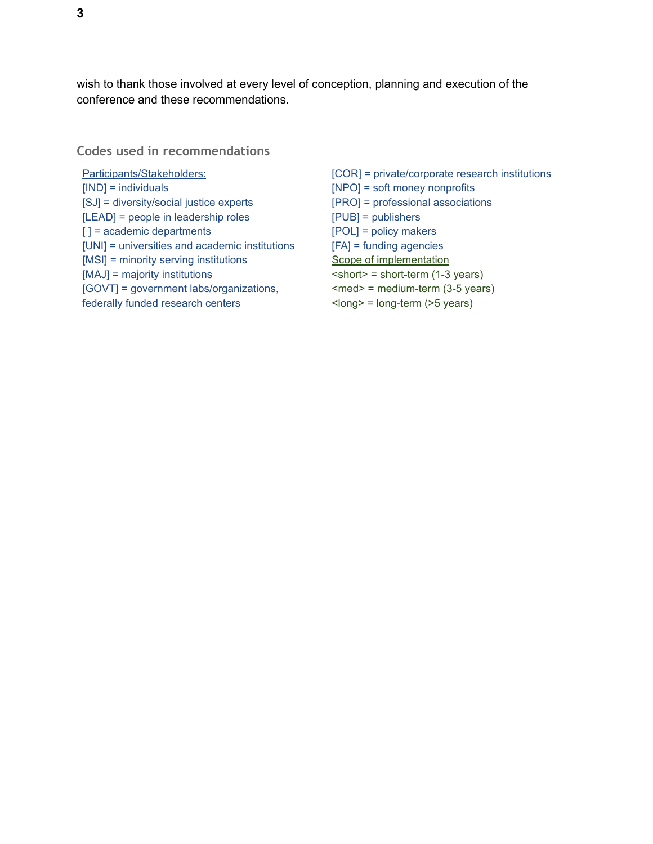wish to thank those involved at every level of conception, planning and execution of the conference and these recommendations.

<span id="page-2-0"></span>**Codes used in recommendations** 

Participants/Stakeholders: [IND] = individuals [SJ] = diversity/social justice experts [LEAD] = people in leadership roles [] = academic departments [UNI] = universities and academic institutions [MSI] = minority serving institutions [MAJ] = majority institutions [GOVT] = government labs/organizations, federally funded research centers

[COR] = private/corporate research institutions [NPO] = soft money nonprofits [PRO] = professional associations [PUB] = publishers [POL] = policy makers [FA] = funding agencies Scope of implementation  $\text{~short}$  = short-term (1-3 years)  $<$ med $>$  = medium-term (3-5 years) <long> = long-term (>5 years)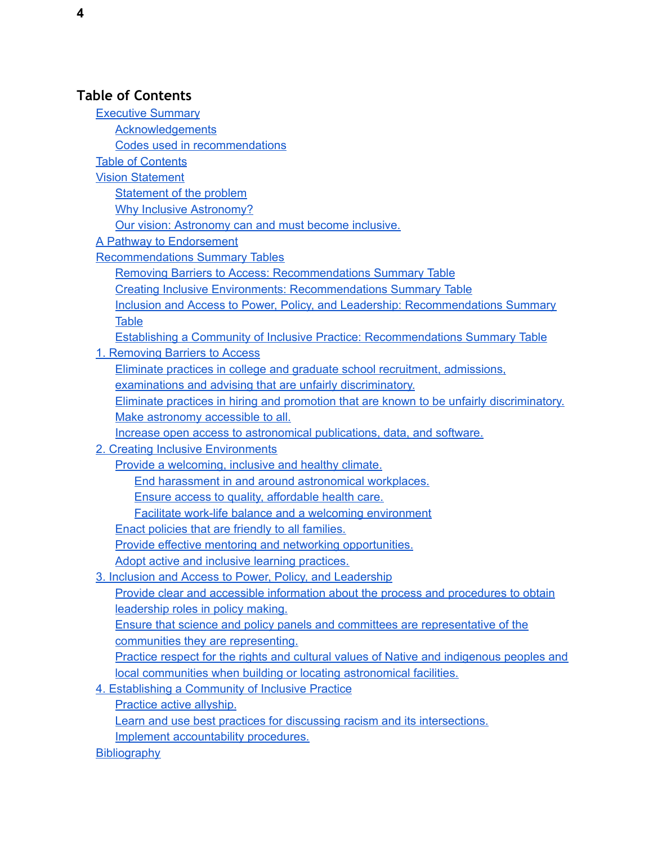## <span id="page-3-0"></span>**Table of Contents**

[Executive](#page-0-0) Summary **[Acknowledgements](#page-1-0)** Codes used in [recommendations](#page-2-0) Table of [Contents](#page-3-0) Vision [Statement](#page-5-0) Statement of the problem Why Inclusive Astronomy? Our vision: Astronomy can and must become inclusive. A Pathway to Endorsement [Recommendations](#page-10-0) Summary Tables Removing Barriers to Access: [Recommendations](#page-10-1) Summary Table Creating Inclusive Environments: [Recommendations](#page-12-0) Summary Table Inclusion and Access to Power, Policy, and Leadership: [Recommendations](#page-14-0) Summary **[Table](#page-14-0)** Establishing a Community of Inclusive Practice: [Recommendations](#page-16-0) Summary Table 1. [Removing](#page-18-0) Barriers to Access Eliminate practices in college and graduate school recruitment, [admissions,](#page-18-1) examinations and advising that are unfairly [discriminatory.](#page-18-1) Eliminate practices in hiring and promotion that are known to be unfairly [discriminatory.](#page-19-0) Make astronomy [accessible](#page-20-0) to all. Increase open access to [astronomical](#page-21-0) publications, data, and software. 2. Creating Inclusive [Environments](#page-23-0) Provide a welcoming, inclusive and healthy climate. End harassment in and around [astronomical](#page-23-1) workplaces. Ensure access to quality, [affordable](#page-25-0) health care. Facilitate work-life balance and a welcoming [environment](#page-26-0) Enact policies that are friendly to all families. Provide effective mentoring and networking [opportunities.](#page-27-0) Adopt active and inclusive learning [practices.](#page-28-0) 3. Inclusion and Access to Power, Policy, and [Leadership](#page-31-0) Provide clear and accessible information about the process and [procedures](#page-31-1) to obtain [leadership](#page-31-1) roles in policy making. Ensure that science and policy panels and committees are [representative](#page-31-2) of the communities they are [representing.](#page-31-2) Practice respect for the rights and cultural values of Native and [indigenous](#page-32-0) peoples and local communities when building or locating [astronomical](#page-32-0) facilities. 4. [Establishing](#page-33-0) a Community of Inclusive Practice [Practice](#page-33-1) active allyship. Learn and use best practices for discussing racism and its [intersections.](#page-34-0) Implement [accountability](#page-35-0) procedures. **[Bibliography](#page-37-0)**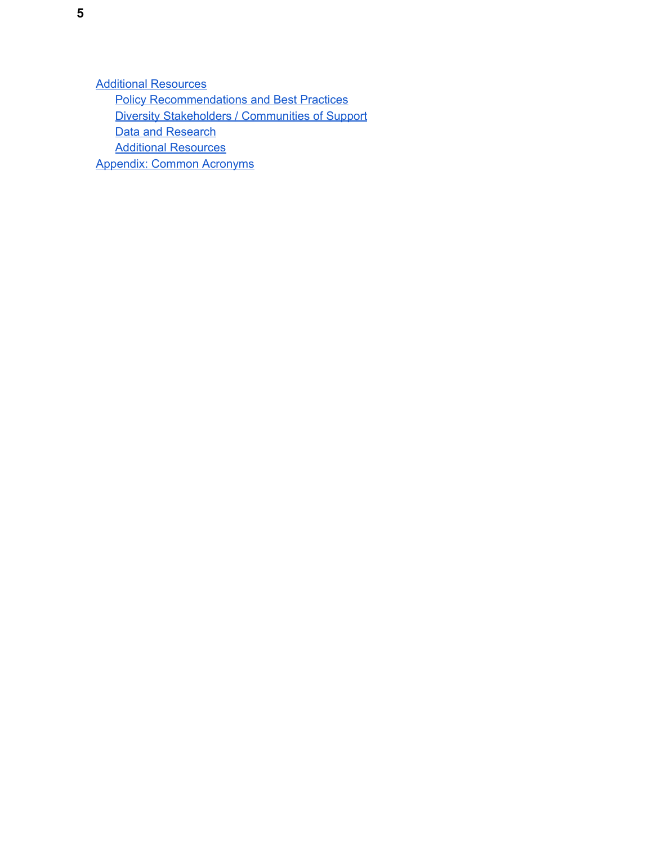Additional [Resources](#page-38-0) **Policy [Recommendations](#page-38-1) and Best Practices** Diversity [Stakeholders](#page-38-2) / Communities of Support **Data and [Research](#page-38-3) Additional [Resources](#page-38-4)** [Appendix:](#page-39-0) Common Acronyms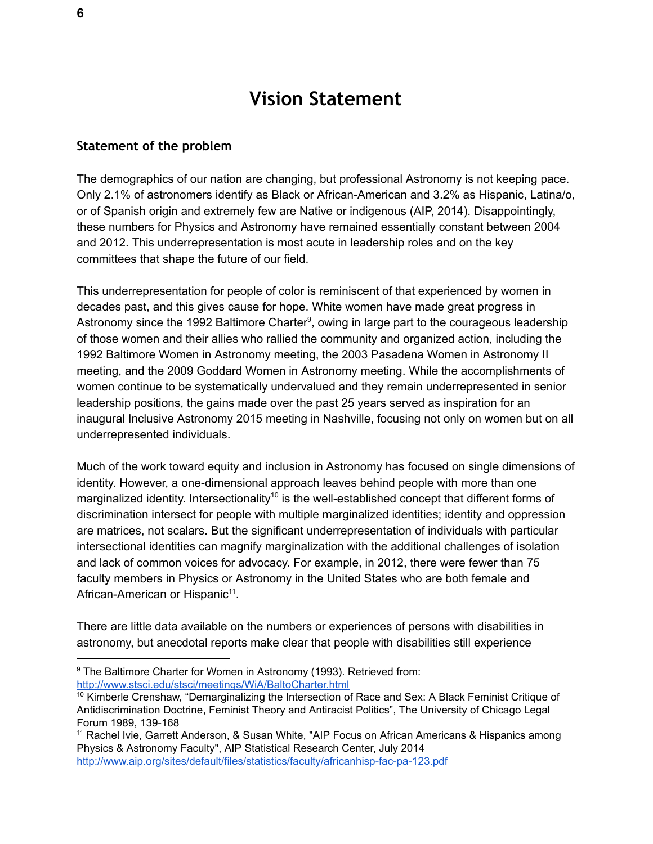## **Vision Statement**

#### <span id="page-5-0"></span>**Statement of the problem**

The demographics of our nation are changing, but professional Astronomy is not keeping pace. Only 2.1% of astronomers identify as Black or African-American and 3.2% as Hispanic, Latina/o, or of Spanish origin and extremely few are Native or indigenous (AIP, 2014). Disappointingly, these numbers for Physics and Astronomy have remained essentially constant between 2004 and 2012. This underrepresentation is most acute in leadership roles and on the key committees that shape the future of our field.

This underrepresentation for people of color is reminiscent of that experienced by women in decades past, and this gives cause for hope. White women have made great progress in Astronomy since the 1992 Baltimore Charter<sup>9</sup>, owing in large part to the courageous leadership of those women and their allies who rallied the community and organized action, including the 1992 Baltimore Women in Astronomy meeting, the 2003 Pasadena Women in Astronomy II meeting, and the 2009 Goddard Women in Astronomy meeting. While the accomplishments of women continue to be systematically undervalued and they remain underrepresented in senior leadership positions, the gains made over the past 25 years served as inspiration for an inaugural Inclusive Astronomy 2015 meeting in Nashville, focusing not only on women but on all underrepresented individuals.

Much of the work toward equity and inclusion in Astronomy has focused on single dimensions of identity. However, a one-dimensional approach leaves behind people with more than one marginalized identity. Intersectionality<sup>10</sup> is the well-established concept that different forms of discrimination intersect for people with multiple marginalized identities; identity and oppression are matrices, not scalars. But the significant underrepresentation of individuals with particular intersectional identities can magnify marginalization with the additional challenges of isolation and lack of common voices for advocacy. For example, in 2012, there were fewer than 75 faculty members in Physics or Astronomy in the United States who are both female and African-American or Hispanic<sup>11</sup>.

There are little data available on the numbers or experiences of persons with disabilities in astronomy, but anecdotal reports make clear that people with disabilities still experience

<sup>&</sup>lt;sup>9</sup> The Baltimore Charter for Women in Astronomy (1993). Retrieved from: <http://www.stsci.edu/stsci/meetings/WiA/BaltoCharter.html>

<sup>&</sup>lt;sup>10</sup> Kimberle Crenshaw, "Demarginalizing the Intersection of Race and Sex: A Black Feminist Critique of Antidiscrimination Doctrine, Feminist Theory and Antiracist Politics", The University of Chicago Legal Forum 1989, 139-168

<sup>&</sup>lt;sup>11</sup> Rachel Ivie, Garrett Anderson, & Susan White, "AIP Focus on African Americans & Hispanics among Physics & Astronomy Faculty", AIP Statistical Research Center, July 2014 <http://www.aip.org/sites/default/files/statistics/faculty/africanhisp-fac-pa-123.pdf>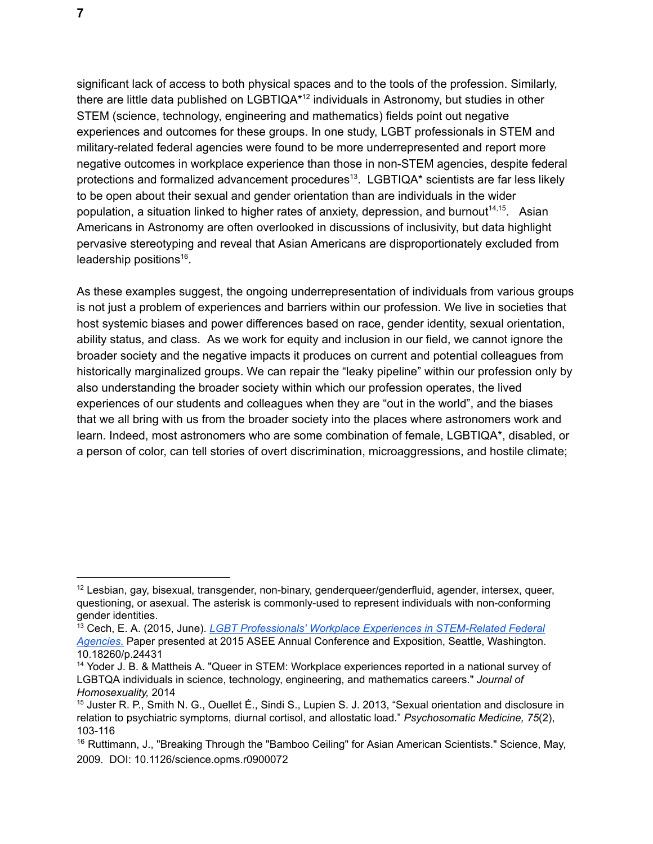significant lack of access to both physical spaces and to the tools of the profession. Similarly, there are little data published on LGBTIQA\* $12$  individuals in Astronomy, but studies in other STEM (science, technology, engineering and mathematics) fields point out negative experiences and outcomes for these groups. In one study, LGBT professionals in STEM and military-related federal agencies were found to be more underrepresented and report more negative outcomes in workplace experience than those in non-STEM agencies, despite federal protections and formalized advancement procedures<sup>13</sup>. LGBTIQA\* scientists are far less likely to be open about their sexual and gender orientation than are individuals in the wider population, a situation linked to higher rates of anxiety, depression, and burnout<sup>14,15</sup>. Asian Americans in Astronomy are often overlooked in discussions of inclusivity, but data highlight pervasive stereotyping and reveal that Asian Americans are disproportionately excluded from leadership positions $16$ .

As these examples suggest, the ongoing underrepresentation of individuals from various groups is not just a problem of experiences and barriers within our profession. We live in societies that host systemic biases and power differences based on race, gender identity, sexual orientation, ability status, and class. As we work for equity and inclusion in our field, we cannot ignore the broader society and the negative impacts it produces on current and potential colleagues from historically marginalized groups. We can repair the "leaky pipeline" within our profession only by also understanding the broader society within which our profession operates, the lived experiences of our students and colleagues when they are "out in the world", and the biases that we all bring with us from the broader society into the places where astronomers work and learn. Indeed, most astronomers who are some combination of female, LGBTIQA\*, disabled, or a person of color, can tell stories of overt discrimination, microaggressions, and hostile climate;

<sup>12</sup> Lesbian, gay, bisexual, transgender, non-binary, genderqueer/genderfluid, agender, intersex, queer, questioning, or asexual. The asterisk is commonly-used to represent individuals with non-conforming gender identities.

<sup>13</sup> Cech, E. A. (2015, June). *LGBT Professionals' Workplace Experiences in [STEM-Related](http://www.asee.org/file_server/papers/attachment/file/0005/6860/LGBT_Professionals__Workplace_Experiences_in_STEM-Related_Federal_Agencies.pdf) Federal [Agencies](http://www.asee.org/file_server/papers/attachment/file/0005/6860/LGBT_Professionals__Workplace_Experiences_in_STEM-Related_Federal_Agencies.pdf)*[.](http://www.asee.org/file_server/papers/attachment/file/0005/6860/LGBT_Professionals__Workplace_Experiences_in_STEM-Related_Federal_Agencies.pdf) Paper presented at 2015 ASEE Annual Conference and Exposition, Seattle, Washington. 10.18260/p.24431

<sup>14</sup> Yoder J. B. & Mattheis A. "Queer in STEM: Workplace experiences reported in a national survey of LGBTQA individuals in science, technology, engineering, and mathematics careers." *Journal of Homosexuality,* 2014

<sup>15</sup> [Juster](http://www.ncbi.nlm.nih.gov/pubmed/?term=Juster%20RP%5BAuthor%5D&cauthor=true&cauthor_uid=23362500) R. P., [Smith](http://www.ncbi.nlm.nih.gov/pubmed/?term=Smith%20NG%5BAuthor%5D&cauthor=true&cauthor_uid=23362500) N. G., [Ouellet](http://www.ncbi.nlm.nih.gov/pubmed/?term=Ouellet%20%C3%89%5BAuthor%5D&cauthor=true&cauthor_uid=23362500) É., Sindi S., [Lupien](http://www.ncbi.nlm.nih.gov/pubmed/?term=Lupien%20SJ%5BAuthor%5D&cauthor=true&cauthor_uid=23362500) S. J. 2013, "Sexual orientation and disclosure in relation to psychiatric symptoms, diurnal cortisol, and allostatic load." *Psychosomatic Medicine, 75*(2), 103-116

<sup>&</sup>lt;sup>16</sup> Ruttimann, J., "Breaking Through the "Bamboo Ceiling" for Asian American Scientists." Science, May, 2009. DOI: 10.1126/science.opms.r0900072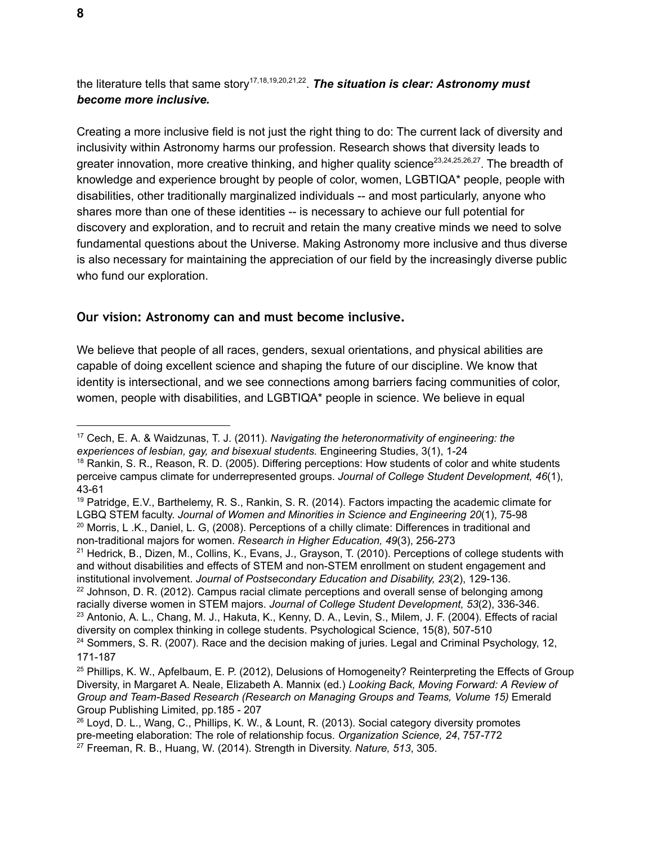the literature tells that same story<sup>17,18,19,20,21,22</sup>. The situation is clear: Astronomy must *become more inclusive.*

Creating a more inclusive field is not just the right thing to do: The current lack of diversity and inclusivity within Astronomy harms our profession. Research shows that diversity leads to greater innovation, more creative thinking, and higher quality science<sup>23,24,25,26,27</sup>. The breadth of knowledge and experience brought by people of color, women, LGBTIQA\* people, people with disabilities, other traditionally marginalized individuals -- and most particularly, anyone who shares more than one of these identities -- is necessary to achieve our full potential for discovery and exploration, and to recruit and retain the many creative minds we need to solve fundamental questions about the Universe. Making Astronomy more inclusive and thus diverse is also necessary for maintaining the appreciation of our field by the increasingly diverse public who fund our exploration.

## **Our vision: Astronomy can and must become inclusive.**

We believe that people of all races, genders, sexual orientations, and physical abilities are capable of doing excellent science and shaping the future of our discipline. We know that identity is intersectional, and we see connections among barriers facing communities of color, women, people with disabilities, and LGBTIQA\* people in science. We believe in equal

<sup>17</sup> Cech, E. A. & Waidzunas, T. J. (2011). *Navigating the heteronormativity of engineering: the experiences of lesbian, gay, and bisexual students.* Engineering Studies, 3(1), 1-24

<sup>&</sup>lt;sup>18</sup> Rankin, S. R., Reason, R. D. (2005). Differing perceptions: How students of color and white students perceive campus climate for underrepresented groups. *Journal of College Student Development, 46*(1), 43-61

<sup>19</sup> Patridge, E.V., Barthelemy, R. S., Rankin, S. R. (2014). Factors impacting the academic climate for LGBQ STEM faculty. *Journal of Women and Minorities in Science and Engineering 20*(1), 75-98 <sup>20</sup> Morris, L .K., Daniel, L. G, (2008). Perceptions of a chilly climate: Differences in traditional and non-traditional majors for women. *Research in Higher Education, 49*(3), 256-273

<sup>21</sup> Hedrick, B., Dizen, M., Collins, K., Evans, J., Grayson, T. (2010). Perceptions of college students with and without disabilities and effects of STEM and non-STEM enrollment on student engagement and institutional involvement. *Journal of Postsecondary Education and Disability, 23*(2), 129-136.  $22$  Johnson, D. R. (2012). Campus racial climate perceptions and overall sense of belonging among

racially diverse women in STEM majors. *Journal of College Student Development, 53*(2), 336-346. <sup>23</sup> Antonio, A. L., Chang, M. J., Hakuta, K., Kenny, D. A., Levin, S., Milem, J. F. (2004). Effects of racial diversity on complex thinking in college students. Psychological Science, 15(8), 507-510

 $24$  Sommers, S. R. (2007). Race and the decision making of juries. Legal and Criminal Psychology, 12, 171-187

<sup>&</sup>lt;sup>25</sup> Phillips, K. W., Apfelbaum, E. P. (2012), Delusions of Homogeneity? Reinterpreting the Effects of Group Diversity, in Margaret A. Neale, Elizabeth A. Mannix (ed.) *Looking Back, Moving Forward: A Review of Group and Team-Based Research (Research on Managing Groups and Teams, Volume 15)* Emerald Group Publishing Limited, pp.185 - 207

<sup>&</sup>lt;sup>26</sup> Loyd, D. L., Wang, C., Phillips, K. W., & Lount, R. (2013). Social category diversity promotes pre-meeting elaboration: The role of relationship focus. *Organization Science, 24*, 757-772 <sup>27</sup> Freeman, R. B., Huang, W. (2014). Strength in Diversity. *Nature, 513*, 305.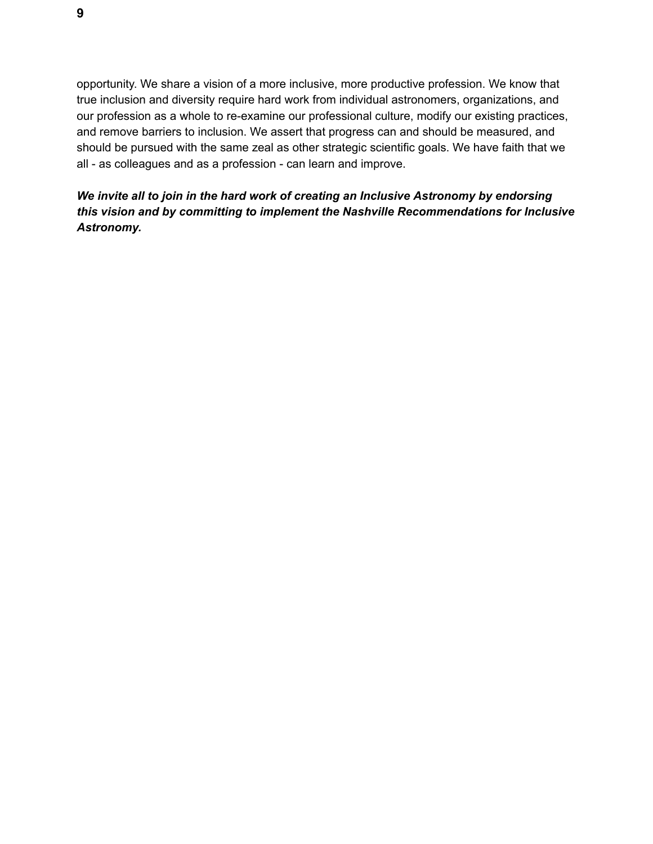opportunity. We share a vision of a more inclusive, more productive profession. We know that true inclusion and diversity require hard work from individual astronomers, organizations, and our profession as a whole to re-examine our professional culture, modify our existing practices, and remove barriers to inclusion. We assert that progress can and should be measured, and should be pursued with the same zeal as other strategic scientific goals. We have faith that we all - as colleagues and as a profession - can learn and improve.

## *We invite all to join in the hard work of creating an Inclusive Astronomy by endorsing this vision and by committing to implement the Nashville Recommendations for Inclusive Astronomy.*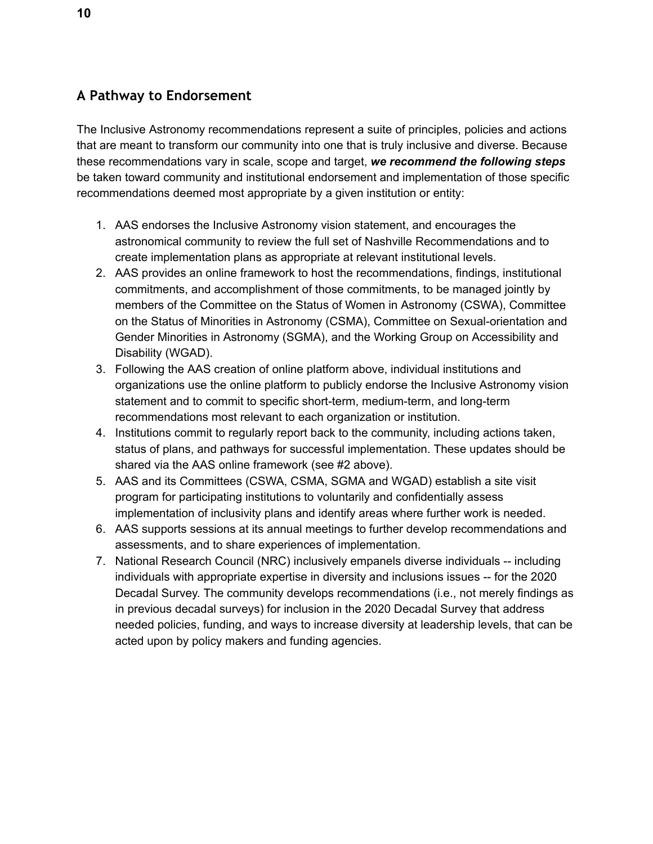## **A Pathway to Endorsement**

The Inclusive Astronomy recommendations represent a suite of principles, policies and actions that are meant to transform our community into one that is truly inclusive and diverse. Because these recommendations vary in scale, scope and target, *we recommend the following steps* be taken toward community and institutional endorsement and implementation of those specific recommendations deemed most appropriate by a given institution or entity:

- 1. AAS endorses the Inclusive Astronomy vision statement, and encourages the astronomical community to review the full set of Nashville Recommendations and to create implementation plans as appropriate at relevant institutional levels.
- 2. AAS provides an online framework to host the recommendations, findings, institutional commitments, and accomplishment of those commitments, to be managed jointly by members of the Committee on the Status of Women in Astronomy (CSWA), Committee on the Status of Minorities in Astronomy (CSMA), Committee on Sexual-orientation and Gender Minorities in Astronomy (SGMA), and the Working Group on Accessibility and Disability (WGAD).
- 3. Following the AAS creation of online platform above, individual institutions and organizations use the online platform to publicly endorse the Inclusive Astronomy vision statement and to commit to specific short-term, medium-term, and long-term recommendations most relevant to each organization or institution.
- 4. Institutions commit to regularly report back to the community, including actions taken, status of plans, and pathways for successful implementation. These updates should be shared via the AAS online framework (see #2 above).
- 5. AAS and its Committees (CSWA, CSMA, SGMA and WGAD) establish a site visit program for participating institutions to voluntarily and confidentially assess implementation of inclusivity plans and identify areas where further work is needed.
- 6. AAS supports sessions at its annual meetings to further develop recommendations and assessments, and to share experiences of implementation.
- 7. National Research Council (NRC) inclusively empanels diverse individuals -- including individuals with appropriate expertise in diversity and inclusions issues -- for the 2020 Decadal Survey. The community develops recommendations (i.e., not merely findings as in previous decadal surveys) for inclusion in the 2020 Decadal Survey that address needed policies, funding, and ways to increase diversity at leadership levels, that can be acted upon by policy makers and funding agencies.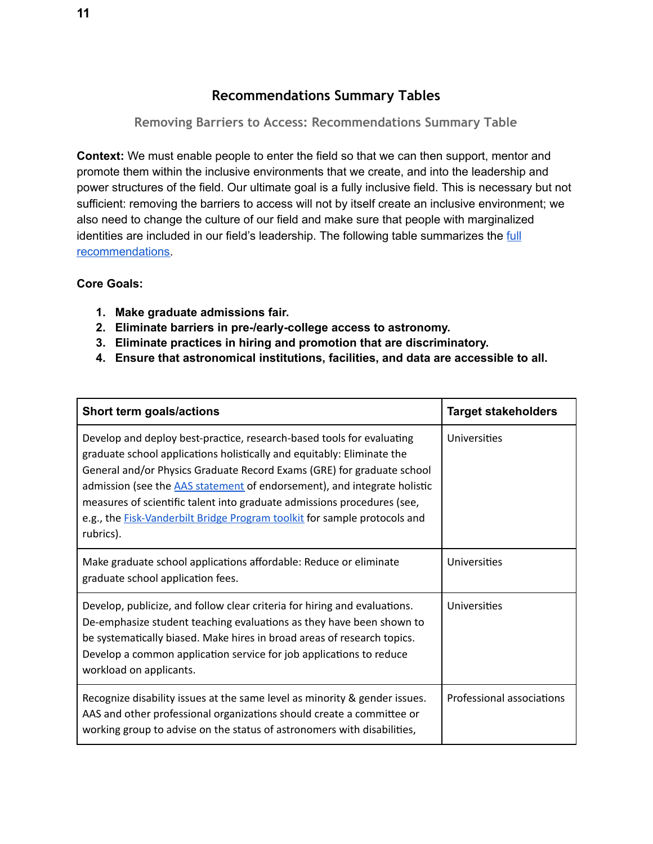## **Recommendations Summary Tables**

<span id="page-10-0"></span>**Removing Barriers to Access: Recommendations Summary Table** 

<span id="page-10-1"></span>**Context:** We must enable people to enter the field so that we can then support, mentor and promote them within the inclusive environments that we create, and into the leadership and power structures of the field. Our ultimate goal is a fully inclusive field. This is necessary but not sufficient: removing the barriers to access will not by itself create an inclusive environment; we also need to change the culture of our field and make sure that people with marginalized identities are included in our field's leadership. The following table summarizes the [full](#page-18-0) [recommendations.](#page-18-0)

#### **Core Goals:**

- **1. Make graduate admissions fair.**
- **2. Eliminate barriers in pre-/early-college access to astronomy.**
- **3. Eliminate practices in hiring and promotion that are discriminatory.**
- **4. Ensure that astronomical institutions, facilities, and data are accessible to all.**

| Short term goals/actions                                                                                                                                                                                                                                                                                                                                                                                                                                                                 | <b>Target stakeholders</b> |
|------------------------------------------------------------------------------------------------------------------------------------------------------------------------------------------------------------------------------------------------------------------------------------------------------------------------------------------------------------------------------------------------------------------------------------------------------------------------------------------|----------------------------|
| Develop and deploy best-practice, research-based tools for evaluating<br>graduate school applications holistically and equitably: Eliminate the<br>General and/or Physics Graduate Record Exams (GRE) for graduate school<br>admission (see the <b>AAS</b> statement of endorsement), and integrate holistic<br>measures of scientific talent into graduate admissions procedures (see,<br>e.g., the <b>Fisk-Vanderbilt Bridge Program toolkit</b> for sample protocols and<br>rubrics). | Universities               |
| Make graduate school applications affordable: Reduce or eliminate<br>graduate school application fees.                                                                                                                                                                                                                                                                                                                                                                                   | Universities               |
| Develop, publicize, and follow clear criteria for hiring and evaluations.<br>De-emphasize student teaching evaluations as they have been shown to<br>be systematically biased. Make hires in broad areas of research topics.<br>Develop a common application service for job applications to reduce<br>workload on applicants.                                                                                                                                                           | Universities               |
| Recognize disability issues at the same level as minority & gender issues.<br>AAS and other professional organizations should create a committee or<br>working group to advise on the status of astronomers with disabilities,                                                                                                                                                                                                                                                           | Professional associations  |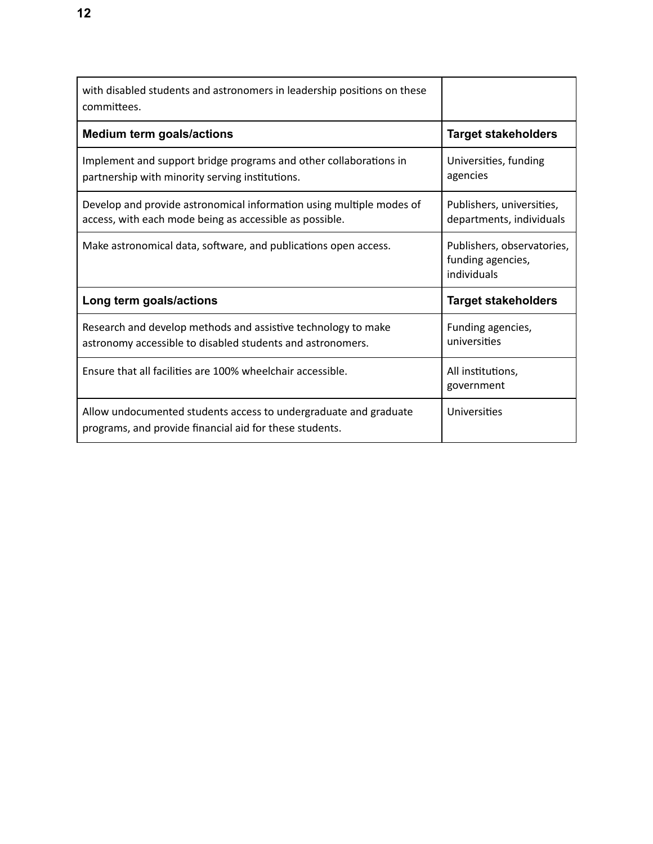| with disabled students and astronomers in leadership positions on these<br>committees.                                          |                                                                |
|---------------------------------------------------------------------------------------------------------------------------------|----------------------------------------------------------------|
| <b>Medium term goals/actions</b>                                                                                                | <b>Target stakeholders</b>                                     |
| Implement and support bridge programs and other collaborations in<br>partnership with minority serving institutions.            | Universities, funding<br>agencies                              |
| Develop and provide astronomical information using multiple modes of<br>access, with each mode being as accessible as possible. | Publishers, universities,<br>departments, individuals          |
| Make astronomical data, software, and publications open access.                                                                 | Publishers, observatories,<br>funding agencies,<br>individuals |
| Long term goals/actions                                                                                                         | <b>Target stakeholders</b>                                     |
| Research and develop methods and assistive technology to make<br>astronomy accessible to disabled students and astronomers.     | Funding agencies,<br>universities                              |
| Ensure that all facilities are 100% wheelchair accessible.                                                                      | All institutions,<br>government                                |
| Allow undocumented students access to undergraduate and graduate<br>programs, and provide financial aid for these students.     | Universities                                                   |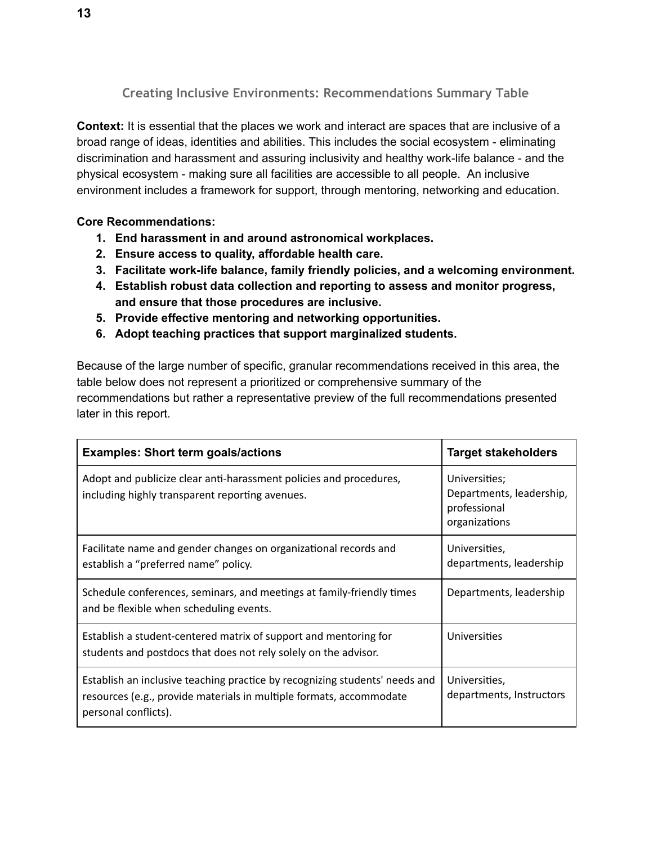**Creating Inclusive Environments: Recommendations Summary Table** 

<span id="page-12-0"></span>**Context:** It is essential that the places we work and interact are spaces that are inclusive of a broad range of ideas, identities and abilities. This includes the social ecosystem - eliminating discrimination and harassment and assuring inclusivity and healthy work-life balance - and the physical ecosystem - making sure all facilities are accessible to all people. An inclusive environment includes a framework for support, through mentoring, networking and education.

#### **Core Recommendations:**

- **1. End harassment in and around astronomical workplaces.**
- **2. Ensure access to quality, affordable health care.**
- **3. Facilitate work-life balance, family friendly policies, and a welcoming environment.**
- **4. Establish robust data collection and reporting to assess and monitor progress, and ensure that those procedures are inclusive.**
- **5. Provide effective mentoring and networking opportunities.**
- **6. Adopt teaching practices that support marginalized students.**

Because of the large number of specific, granular recommendations received in this area, the table below does not represent a prioritized or comprehensive summary of the recommendations but rather a representative preview of the full recommendations presented later in this report.

| <b>Examples: Short term goals/actions</b>                                                                                                                                  | <b>Target stakeholders</b>                                                 |
|----------------------------------------------------------------------------------------------------------------------------------------------------------------------------|----------------------------------------------------------------------------|
| Adopt and publicize clear anti-harassment policies and procedures,<br>including highly transparent reporting avenues.                                                      | Universities;<br>Departments, leadership,<br>professional<br>organizations |
| Facilitate name and gender changes on organizational records and<br>establish a "preferred name" policy.                                                                   | Universities,<br>departments, leadership                                   |
| Schedule conferences, seminars, and meetings at family-friendly times<br>and be flexible when scheduling events.                                                           | Departments, leadership                                                    |
| Establish a student-centered matrix of support and mentoring for<br>students and postdocs that does not rely solely on the advisor.                                        | Universities                                                               |
| Establish an inclusive teaching practice by recognizing students' needs and<br>resources (e.g., provide materials in multiple formats, accommodate<br>personal conflicts). | Universities,<br>departments, Instructors                                  |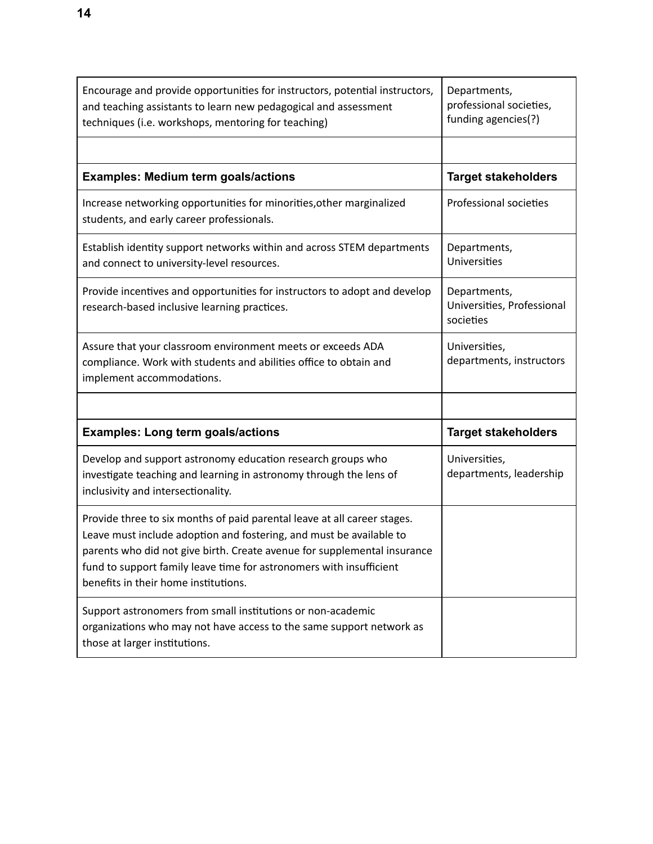| Encourage and provide opportunities for instructors, potential instructors,<br>and teaching assistants to learn new pedagogical and assessment<br>techniques (i.e. workshops, mentoring for teaching)                                                                                                                                      | Departments,<br>professional societies,<br>funding agencies(?) |
|--------------------------------------------------------------------------------------------------------------------------------------------------------------------------------------------------------------------------------------------------------------------------------------------------------------------------------------------|----------------------------------------------------------------|
|                                                                                                                                                                                                                                                                                                                                            |                                                                |
| <b>Examples: Medium term goals/actions</b>                                                                                                                                                                                                                                                                                                 | <b>Target stakeholders</b>                                     |
| Increase networking opportunities for minorities, other marginalized<br>students, and early career professionals.                                                                                                                                                                                                                          | Professional societies                                         |
| Establish identity support networks within and across STEM departments<br>and connect to university-level resources.                                                                                                                                                                                                                       | Departments,<br>Universities                                   |
| Provide incentives and opportunities for instructors to adopt and develop<br>research-based inclusive learning practices.                                                                                                                                                                                                                  | Departments,<br>Universities, Professional<br>societies        |
| Assure that your classroom environment meets or exceeds ADA<br>compliance. Work with students and abilities office to obtain and<br>implement accommodations.                                                                                                                                                                              | Universities,<br>departments, instructors                      |
|                                                                                                                                                                                                                                                                                                                                            |                                                                |
| <b>Examples: Long term goals/actions</b>                                                                                                                                                                                                                                                                                                   | <b>Target stakeholders</b>                                     |
| Develop and support astronomy education research groups who<br>investigate teaching and learning in astronomy through the lens of<br>inclusivity and intersectionality.                                                                                                                                                                    | Universities,<br>departments, leadership                       |
| Provide three to six months of paid parental leave at all career stages.<br>Leave must include adoption and fostering, and must be available to<br>parents who did not give birth. Create avenue for supplemental insurance<br>fund to support family leave time for astronomers with insufficient<br>benefits in their home institutions. |                                                                |
| Support astronomers from small institutions or non-academic<br>organizations who may not have access to the same support network as<br>those at larger institutions.                                                                                                                                                                       |                                                                |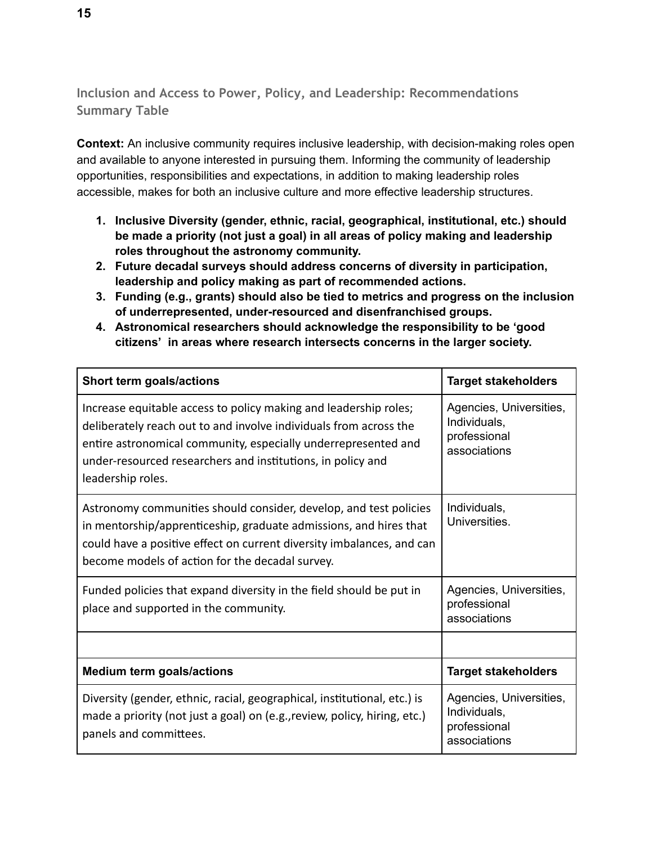<span id="page-14-0"></span>**Inclusion and Access to Power, Policy, and Leadership: Recommendations Summary Table** 

**Context:** An inclusive community requires inclusive leadership, with decision-making roles open and available to anyone interested in pursuing them. Informing the community of leadership opportunities, responsibilities and expectations, in addition to making leadership roles accessible, makes for both an inclusive culture and more effective leadership structures.

- **1. Inclusive Diversity (gender, ethnic, racial, geographical, institutional, etc.) should be made a priority (not just a goal) in all areas of policy making and leadership roles throughout the astronomy community.**
- **2. Future decadal surveys should address concerns of diversity in participation, leadership and policy making as part of recommended actions.**
- **3. Funding (e.g., grants) should also be tied to metrics and progress on the inclusion of underrepresented, under-resourced and disenfranchised groups.**
- **4. Astronomical researchers should acknowledge the responsibility to be 'good citizens' in areas where research intersects concerns in the larger society.**

| Short term goals/actions                                                                                                                                                                                                                                                                    | <b>Target stakeholders</b>                                              |
|---------------------------------------------------------------------------------------------------------------------------------------------------------------------------------------------------------------------------------------------------------------------------------------------|-------------------------------------------------------------------------|
| Increase equitable access to policy making and leadership roles;<br>deliberately reach out to and involve individuals from across the<br>entire astronomical community, especially underrepresented and<br>under-resourced researchers and institutions, in policy and<br>leadership roles. | Agencies, Universities,<br>Individuals,<br>professional<br>associations |
| Astronomy communities should consider, develop, and test policies<br>in mentorship/apprenticeship, graduate admissions, and hires that<br>could have a positive effect on current diversity imbalances, and can<br>become models of action for the decadal survey.                          | Individuals,<br>Universities.                                           |
| Funded policies that expand diversity in the field should be put in<br>place and supported in the community.                                                                                                                                                                                | Agencies, Universities,<br>professional<br>associations                 |
|                                                                                                                                                                                                                                                                                             |                                                                         |
| <b>Medium term goals/actions</b>                                                                                                                                                                                                                                                            | <b>Target stakeholders</b>                                              |
| Diversity (gender, ethnic, racial, geographical, institutional, etc.) is<br>made a priority (not just a goal) on (e.g., review, policy, hiring, etc.)<br>panels and committees.                                                                                                             | Agencies, Universities,<br>Individuals,<br>professional<br>associations |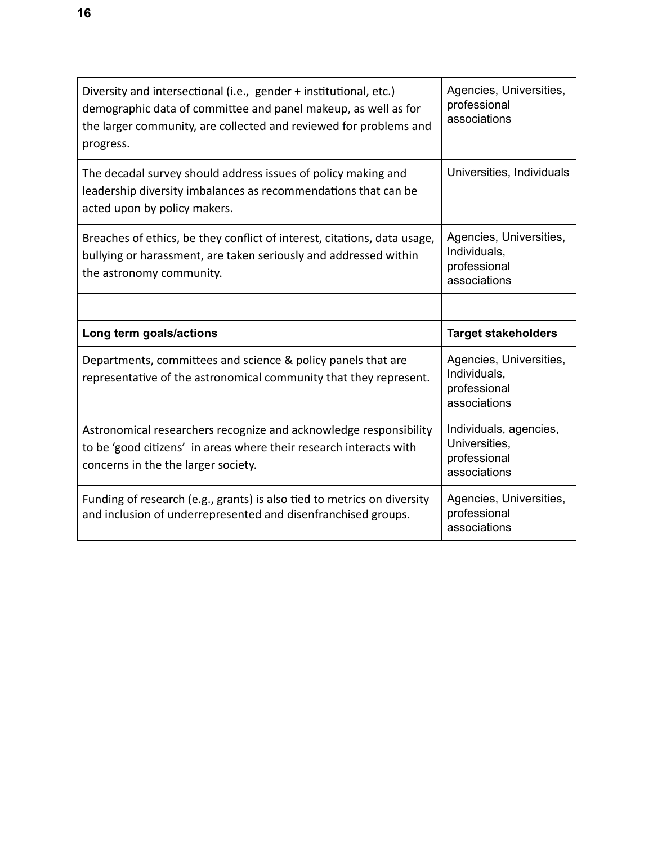| Diversity and intersectional (i.e., gender + institutional, etc.)<br>demographic data of committee and panel makeup, as well as for<br>the larger community, are collected and reviewed for problems and<br>progress. | Agencies, Universities,<br>professional<br>associations                 |
|-----------------------------------------------------------------------------------------------------------------------------------------------------------------------------------------------------------------------|-------------------------------------------------------------------------|
| The decadal survey should address issues of policy making and<br>leadership diversity imbalances as recommendations that can be<br>acted upon by policy makers.                                                       | Universities, Individuals                                               |
| Breaches of ethics, be they conflict of interest, citations, data usage,<br>bullying or harassment, are taken seriously and addressed within<br>the astronomy community.                                              | Agencies, Universities,<br>Individuals,<br>professional<br>associations |
|                                                                                                                                                                                                                       |                                                                         |
|                                                                                                                                                                                                                       |                                                                         |
| Long term goals/actions                                                                                                                                                                                               | <b>Target stakeholders</b>                                              |
| Departments, committees and science & policy panels that are<br>representative of the astronomical community that they represent.                                                                                     | Agencies, Universities,<br>Individuals,<br>professional<br>associations |
| Astronomical researchers recognize and acknowledge responsibility<br>to be 'good citizens' in areas where their research interacts with<br>concerns in the the larger society.                                        | Individuals, agencies,<br>Universities,<br>professional<br>associations |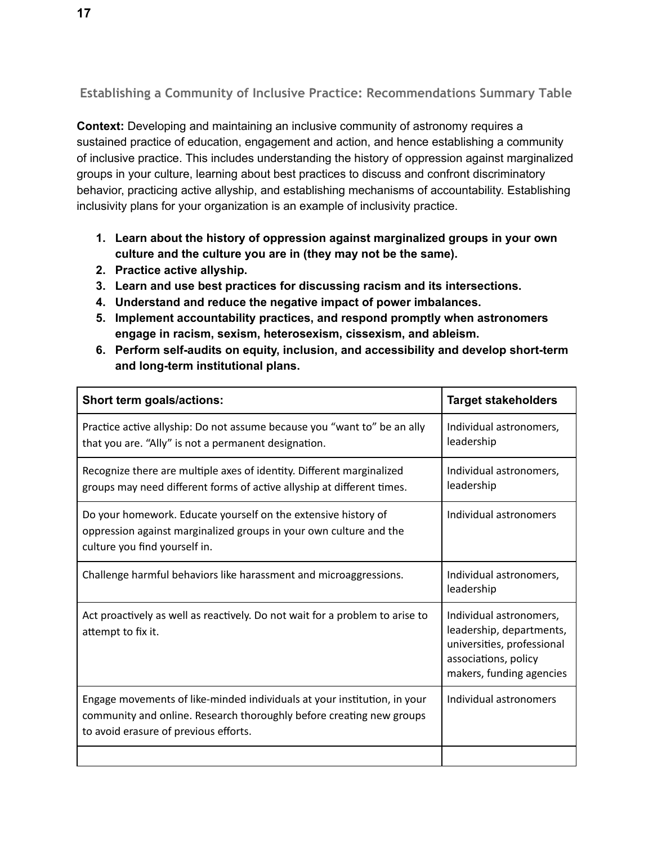<span id="page-16-0"></span>**Establishing a Community of Inclusive Practice: Recommendations Summary Table** 

**Context:** Developing and maintaining an inclusive community of astronomy requires a sustained practice of education, engagement and action, and hence establishing a community of inclusive practice. This includes understanding the history of oppression against marginalized groups in your culture, learning about best practices to discuss and confront discriminatory behavior, practicing active allyship, and establishing mechanisms of accountability. Establishing inclusivity plans for your organization is an example of inclusivity practice.

- **1. Learn about the history of oppression against marginalized groups in your own culture and the culture you are in (they may not be the same).**
- **2. Practice active allyship.**
- **3. Learn and use best practices for discussing racism and its intersections.**
- **4. Understand and reduce the negative impact of power imbalances.**
- **5. Implement accountability practices, and respond promptly when astronomers engage in racism, sexism, heterosexism, cissexism, and ableism.**
- **6. Perform self-audits on equity, inclusion, and accessibility and develop short-term and long-term institutional plans.**

| Short term goals/actions:                                                                                                                                                                 | <b>Target stakeholders</b>                                                                                                            |
|-------------------------------------------------------------------------------------------------------------------------------------------------------------------------------------------|---------------------------------------------------------------------------------------------------------------------------------------|
| Practice active allyship: Do not assume because you "want to" be an ally<br>that you are. "Ally" is not a permanent designation.                                                          | Individual astronomers,<br>leadership                                                                                                 |
| Recognize there are multiple axes of identity. Different marginalized<br>groups may need different forms of active allyship at different times.                                           | Individual astronomers,<br>leadership                                                                                                 |
| Do your homework. Educate yourself on the extensive history of<br>oppression against marginalized groups in your own culture and the<br>culture you find yourself in.                     | Individual astronomers                                                                                                                |
| Challenge harmful behaviors like harassment and microaggressions.                                                                                                                         | Individual astronomers,<br>leadership                                                                                                 |
| Act proactively as well as reactively. Do not wait for a problem to arise to<br>attempt to fix it.                                                                                        | Individual astronomers,<br>leadership, departments,<br>universities, professional<br>associations, policy<br>makers, funding agencies |
| Engage movements of like-minded individuals at your institution, in your<br>community and online. Research thoroughly before creating new groups<br>to avoid erasure of previous efforts. | Individual astronomers                                                                                                                |
|                                                                                                                                                                                           |                                                                                                                                       |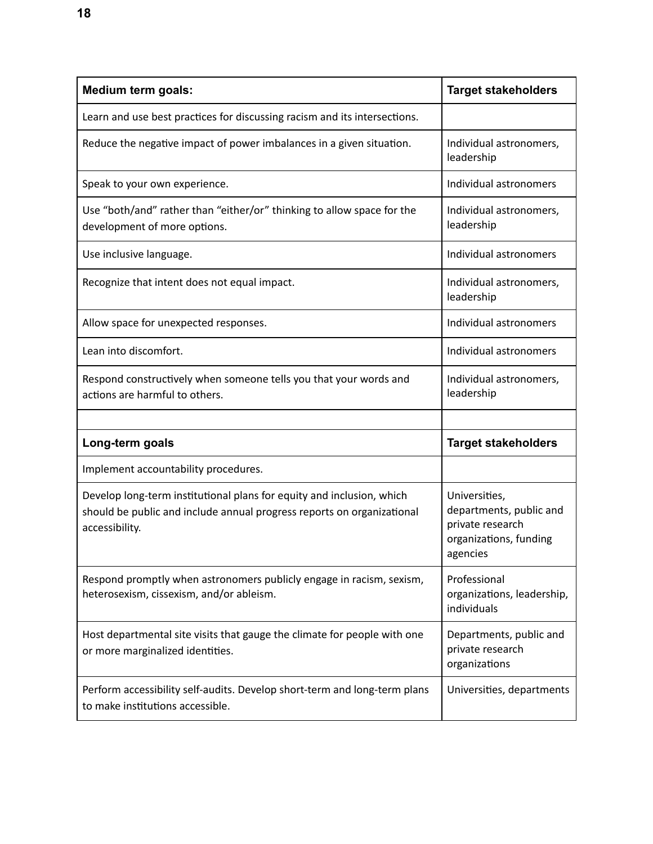| <b>Medium term goals:</b>                                                                                                                                         | <b>Target stakeholders</b>                                                                         |
|-------------------------------------------------------------------------------------------------------------------------------------------------------------------|----------------------------------------------------------------------------------------------------|
| Learn and use best practices for discussing racism and its intersections.                                                                                         |                                                                                                    |
| Reduce the negative impact of power imbalances in a given situation.                                                                                              | Individual astronomers,<br>leadership                                                              |
| Speak to your own experience.                                                                                                                                     | Individual astronomers                                                                             |
| Use "both/and" rather than "either/or" thinking to allow space for the<br>development of more options.                                                            | Individual astronomers,<br>leadership                                                              |
| Use inclusive language.                                                                                                                                           | Individual astronomers                                                                             |
| Recognize that intent does not equal impact.                                                                                                                      | Individual astronomers,<br>leadership                                                              |
| Allow space for unexpected responses.                                                                                                                             | Individual astronomers                                                                             |
| Lean into discomfort.                                                                                                                                             | Individual astronomers                                                                             |
| Respond constructively when someone tells you that your words and<br>actions are harmful to others.                                                               | Individual astronomers,<br>leadership                                                              |
|                                                                                                                                                                   |                                                                                                    |
| Long-term goals                                                                                                                                                   | <b>Target stakeholders</b>                                                                         |
| Implement accountability procedures.                                                                                                                              |                                                                                                    |
| Develop long-term institutional plans for equity and inclusion, which<br>should be public and include annual progress reports on organizational<br>accessibility. | Universities,<br>departments, public and<br>private research<br>organizations, funding<br>agencies |
| Respond promptly when astronomers publicly engage in racism, sexism,<br>heterosexism, cissexism, and/or ableism.                                                  | Professional<br>organizations, leadership,<br>individuals                                          |
| Host departmental site visits that gauge the climate for people with one<br>or more marginalized identities.                                                      | Departments, public and<br>private research<br>organizations                                       |
| Perform accessibility self-audits. Develop short-term and long-term plans<br>to make institutions accessible.                                                     | Universities, departments                                                                          |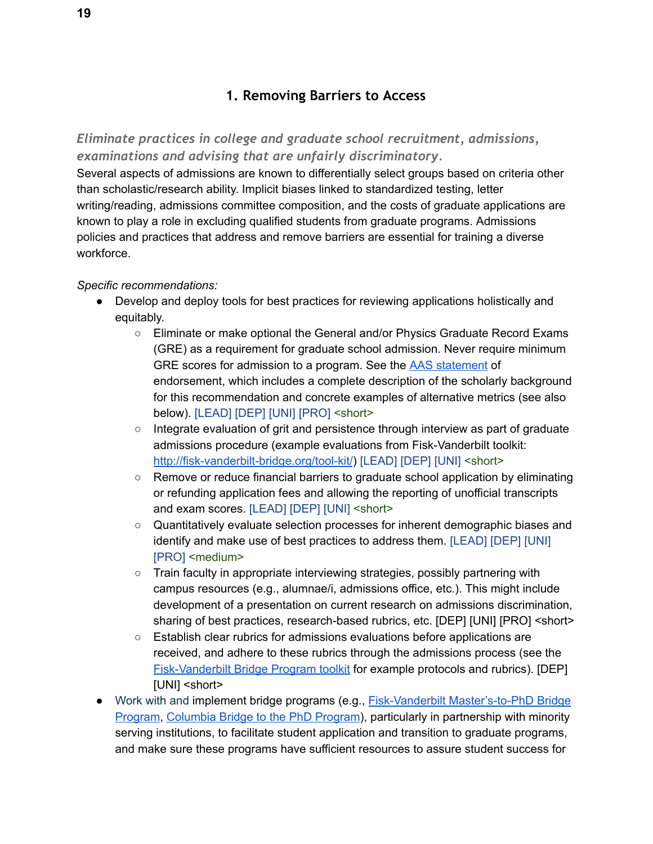## **1. Removing Barriers to Access**

## <span id="page-18-1"></span><span id="page-18-0"></span>*Eliminate practices in college and graduate school recruitment, admissions, examinations and advising that are unfairly discriminatory.*

Several aspects of admissions are known to differentially select groups based on criteria other than scholastic/research ability. Implicit biases linked to standardized testing, letter writing/reading, admissions committee composition, and the costs of graduate applications are known to play a role in excluding qualified students from graduate programs. Admissions policies and practices that address and remove barriers are essential for training a diverse workforce.

- Develop and deploy tools for best practices for reviewing applications holistically and equitably.
	- Eliminate or make optional the General and/or Physics Graduate Record Exams (GRE) as a requirement for graduate school admission. Never require minimum GRE scores for admission to a program. See the AAS [statement](https://aas.org/posts/news/2015/12/presidents-column-rethinking-role-gre) of endorsement, which includes a complete description of the scholarly background for this recommendation and concrete examples of alternative metrics (see also below). [LEAD] [DEP] [UNI] [PRO] <short>
	- Integrate evaluation of grit and persistence through interview as part of graduate admissions procedure (example evaluations from Fisk-Vanderbilt toolkit: [http://fisk-vanderbilt-bridge.org/tool-kit/\)](http://fisk-vanderbilt-bridge.org/tool-kit/) [LEAD] [DEP] [UNI] <short>
	- Remove or reduce financial barriers to graduate school application by eliminating or refunding application fees and allowing the reporting of unofficial transcripts and exam scores. [LEAD] [DEP] [UNI] <short>
	- Quantitatively evaluate selection processes for inherent demographic biases and identify and make use of best practices to address them. [LEAD] [DEP] [UNI] [PRO] <medium>
	- Train faculty in appropriate interviewing strategies, possibly partnering with campus resources (e.g., alumnae/i, admissions office, etc.). This might include development of a presentation on current research on admissions discrimination, sharing of best practices, research-based rubrics, etc. [DEP] [UNI] [PRO] <short>
	- Establish clear rubrics for admissions evaluations before applications are received, and adhere to these rubrics through the admissions process (see the [Fisk-Vanderbilt](http://fisk-vanderbilt-bridge.org/tool-kit) Bridge Program toolkit for example protocols and rubrics). [DEP] [UNI] <short>
- Work with and implement bridge programs (e.g., Fisk-Vanderbilt [Master's-to-PhD](http://fisk-vanderbilt-bridge.org/) Bridge [Program](http://fisk-vanderbilt-bridge.org/), [Columbia](http://facultydiversity.columbia.edu/bridge-phd-program-natural-sciences) Bridge to the PhD Program), particularly in partnership with minority serving institutions, to facilitate student application and transition to graduate programs, and make sure these programs have sufficient resources to assure student success for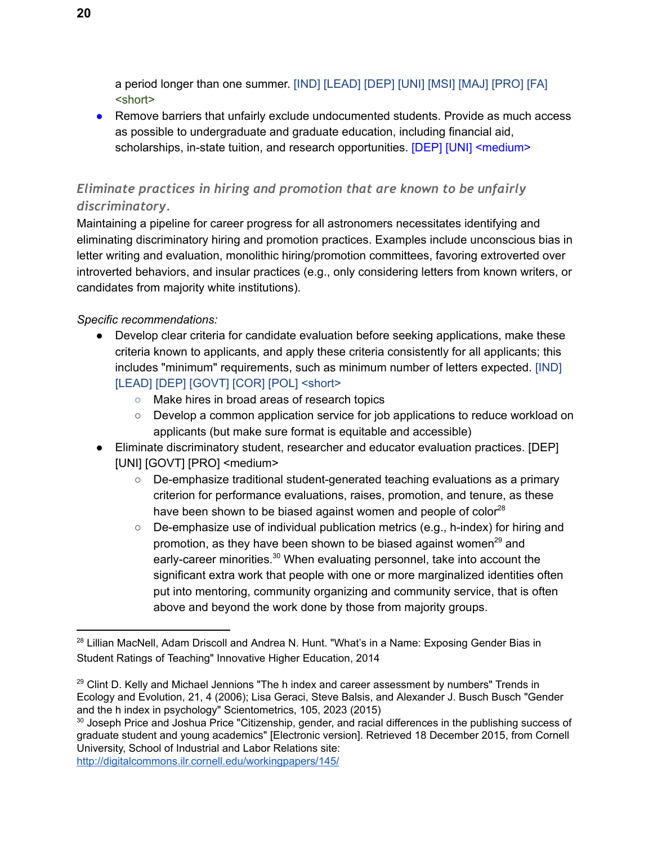a period longer than one summer. [IND] [LEAD] [DEP] [UNI] [MSI] [MAJ] [PRO] [FA] <short>

● Remove barriers that unfairly exclude undocumented students. Provide as much access as possible to undergraduate and graduate education, including financial aid, scholarships, in-state tuition, and research opportunities. [DEP] [UNI] <medium>

## <span id="page-19-0"></span>*Eliminate practices in hiring and promotion that are known to be unfairly discriminatory.*

Maintaining a pipeline for career progress for all astronomers necessitates identifying and eliminating discriminatory hiring and promotion practices. Examples include unconscious bias in letter writing and evaluation, monolithic hiring/promotion committees, favoring extroverted over introverted behaviors, and insular practices (e.g., only considering letters from known writers, or candidates from majority white institutions).

## *Specific recommendations:*

- Develop clear criteria for candidate evaluation before seeking applications, make these criteria known to applicants, and apply these criteria consistently for all applicants; this includes "minimum" requirements, such as minimum number of letters expected. [IND] [LEAD] [DEP] [GOVT] [COR] [POL] <short>
	- Make hires in broad areas of research topics
	- Develop a common application service for job applications to reduce workload on applicants (but make sure format is equitable and accessible)
- Eliminate discriminatory student, researcher and educator evaluation practices. [DEP] [UNI] [GOVT] [PRO] <medium>
	- De-emphasize traditional student-generated teaching evaluations as a primary criterion for performance evaluations, raises, promotion, and tenure, as these have been shown to be biased against women and people of color $^{28}$
	- De-emphasize use of individual publication metrics (e.g., h-index) for hiring and promotion, as they have been shown to be biased against women<sup>29</sup> and early-career minorities.<sup>30</sup> When evaluating personnel, take into account the significant extra work that people with one or more marginalized identities often put into mentoring, community organizing and community service, that is often above and beyond the work done by those from majority groups.

<http://digitalcommons.ilr.cornell.edu/workingpapers/145/>

<sup>&</sup>lt;sup>28</sup> Lillian MacNell, Adam Driscoll and Andrea N. Hunt. "What's in a Name: Exposing Gender Bias in Student Ratings of Teaching" Innovative Higher Education, 2014

 $29$  Clint D. Kelly and Michael Jennions "The h index and career assessment by numbers" Trends in Ecology and Evolution, 21, 4 (2006); Lisa Geraci, Steve Balsis, and Alexander J. Busch Busch "Gender and the h index in psychology" Scientometrics, 105, 2023 (2015)

<sup>&</sup>lt;sup>30</sup> Joseph Price and Joshua Price "Citizenship, gender, and racial differences in the publishing success of graduate student and young academics" [Electronic version]. Retrieved 18 December 2015, from Cornell University, School of Industrial and Labor Relations site: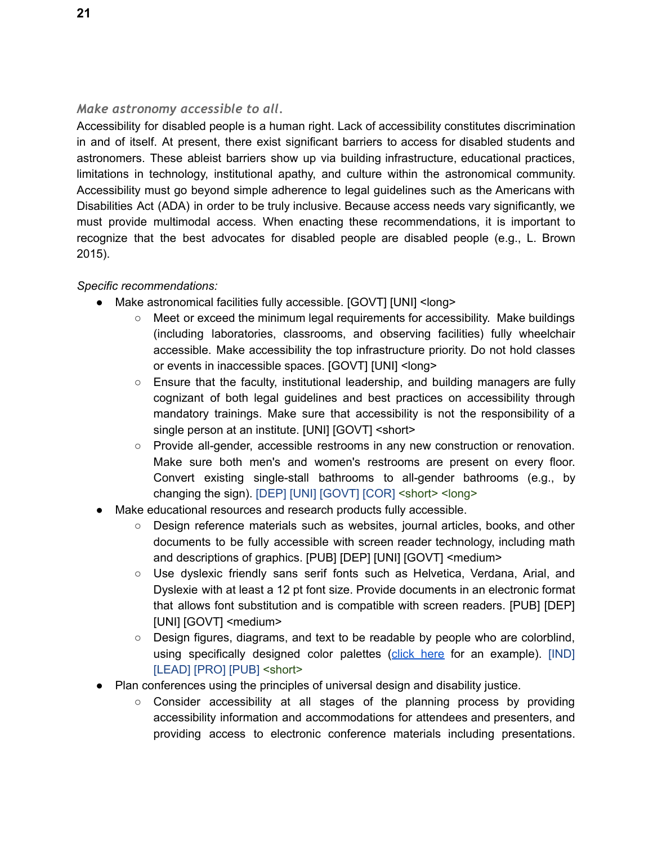#### <span id="page-20-0"></span>*Make astronomy accessible to all.*

Accessibility for disabled people is a human right. Lack of accessibility constitutes discrimination in and of itself. At present, there exist significant barriers to access for disabled students and astronomers. These ableist barriers show up via building infrastructure, educational practices, limitations in technology, institutional apathy, and culture within the astronomical community. Accessibility must go beyond simple adherence to legal guidelines such as the Americans with Disabilities Act (ADA) in order to be truly inclusive. Because access needs vary significantly, we must provide multimodal access. When enacting these recommendations, it is important to recognize that the best advocates for disabled people are disabled people (e.g., L. Brown 2015).

- Make astronomical facilities fully accessible. [GOVT] [UNI] <long>
	- Meet or exceed the minimum legal requirements for accessibility. Make buildings (including laboratories, classrooms, and observing facilities) fully wheelchair accessible. Make accessibility the top infrastructure priority. Do not hold classes or events in inaccessible spaces. [GOVT] [UNI] <long>
	- $\circ$  Ensure that the faculty, institutional leadership, and building managers are fully cognizant of both legal guidelines and best practices on accessibility through mandatory trainings. Make sure that accessibility is not the responsibility of a single person at an institute. [UNI] [GOVT] < short>
	- Provide all-gender, accessible restrooms in any new construction or renovation. Make sure both men's and women's restrooms are present on every floor. Convert existing single-stall bathrooms to all-gender bathrooms (e.g., by changing the sign). [DEP] [UNI] [GOVT] [COR] <short> <long>
- Make educational resources and research products fully accessible.
	- Design reference materials such as websites, journal articles, books, and other documents to be fully accessible with screen reader technology, including math and descriptions of graphics. [PUB] [DEP] [UNI] [GOVT] <medium>
	- Use dyslexic friendly sans serif fonts such as Helvetica, Verdana, Arial, and Dyslexie with at least a 12 pt font size. Provide documents in an electronic format that allows font substitution and is compatible with screen readers. [PUB] [DEP] [UNI] [GOVT] <medium>
	- Design figures, diagrams, and text to be readable by people who are colorblind, using specifically designed color palettes (click [here](http://www.somersault1824.com/tips-for-designing-scientific-figures-for-color-blind-readers/) for an example). [IND] [LEAD] [PRO] [PUB] <short>
- Plan conferences using the principles of universal design and disability justice.
	- Consider accessibility at all stages of the planning process by providing accessibility information and accommodations for attendees and presenters, and providing access to electronic conference materials including presentations.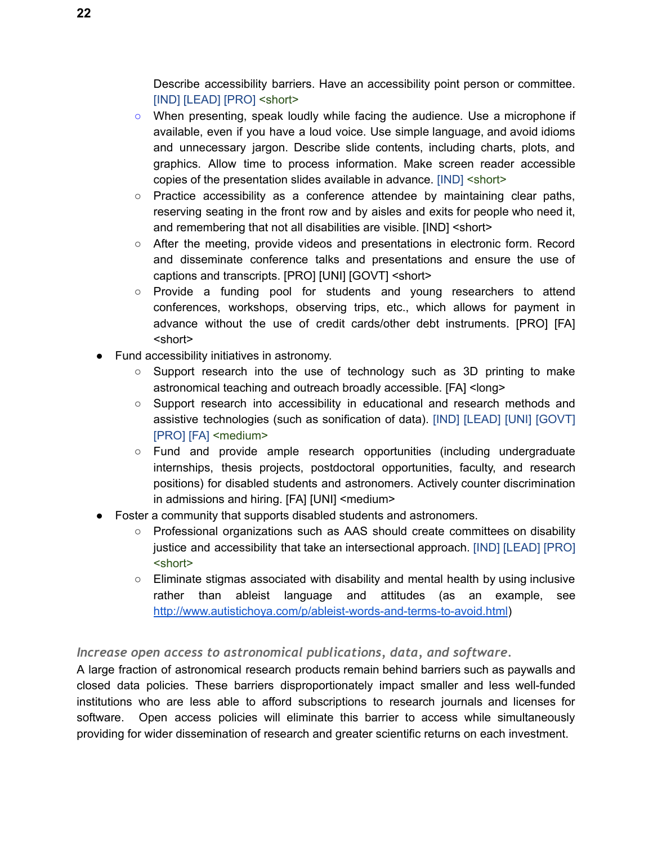Describe accessibility barriers. Have an accessibility point person or committee. [IND] [LEAD] [PRO] <short>

- When presenting, speak loudly while facing the audience. Use a microphone if available, even if you have a loud voice. Use simple language, and avoid idioms and unnecessary jargon. Describe slide contents, including charts, plots, and graphics. Allow time to process information. Make screen reader accessible copies of the presentation slides available in advance. [IND] <short>
- $\circ$  Practice accessibility as a conference attendee by maintaining clear paths, reserving seating in the front row and by aisles and exits for people who need it, and remembering that not all disabilities are visible. [IND] <short>
- After the meeting, provide videos and presentations in electronic form. Record and disseminate conference talks and presentations and ensure the use of captions and transcripts. [PRO] [UNI] [GOVT] <short>
- Provide a funding pool for students and young researchers to attend conferences, workshops, observing trips, etc., which allows for payment in advance without the use of credit cards/other debt instruments. [PRO] [FA] <short>
- Fund accessibility initiatives in astronomy.
	- Support research into the use of technology such as 3D printing to make astronomical teaching and outreach broadly accessible. [FA] <long>
	- Support research into accessibility in educational and research methods and assistive technologies (such as sonification of data). [IND] [LEAD] [UNI] [GOVT] [PRO] [FA] <medium>
	- Fund and provide ample research opportunities (including undergraduate internships, thesis projects, postdoctoral opportunities, faculty, and research positions) for disabled students and astronomers. Actively counter discrimination in admissions and hiring. [FA] [UNI] <medium>
- Foster a community that supports disabled students and astronomers.
	- Professional organizations such as AAS should create committees on disability justice and accessibility that take an intersectional approach. [IND] [LEAD] [PRO] <short>
	- Eliminate stigmas associated with disability and mental health by using inclusive rather than ableist language and attitudes (as an example, see <http://www.autistichoya.com/p/ableist-words-and-terms-to-avoid.html>)

## <span id="page-21-0"></span>*Increase open access to astronomical publications, data, and software.*

A large fraction of astronomical research products remain behind barriers such as paywalls and closed data policies. These barriers disproportionately impact smaller and less well-funded institutions who are less able to afford subscriptions to research journals and licenses for software. Open access policies will eliminate this barrier to access while simultaneously providing for wider dissemination of research and greater scientific returns on each investment.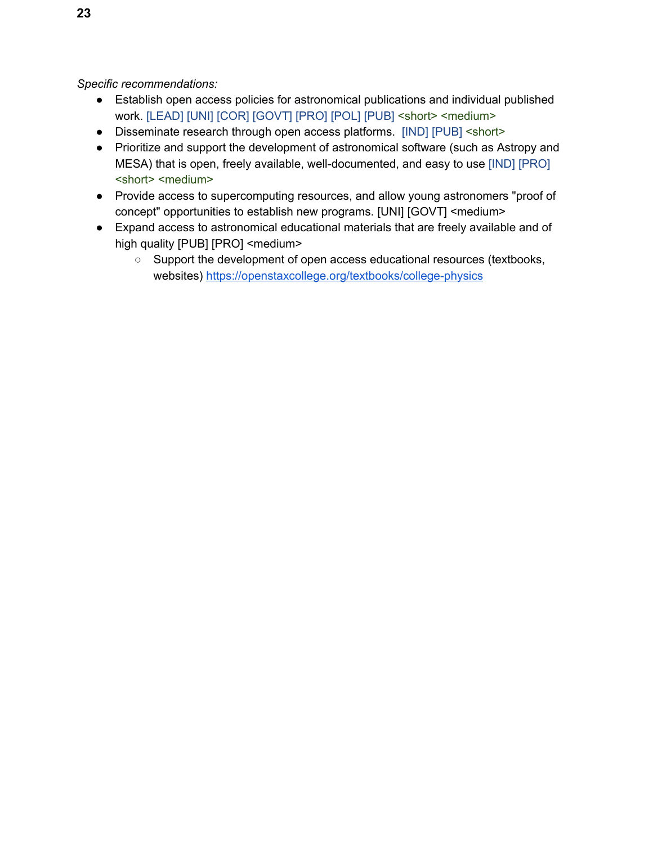- Establish open access policies for astronomical publications and individual published work. [LEAD] [UNI] [COR] [GOVT] [PRO] [POL] [PUB] <short> <medium>
- Disseminate research through open access platforms. [IND] [PUB] <short>
- Prioritize and support the development of astronomical software (such as Astropy and MESA) that is open, freely available, well-documented, and easy to use [IND] [PRO] <short> <medium>
- Provide access to supercomputing resources, and allow young astronomers "proof of concept" opportunities to establish new programs. [UNI] [GOVT] <medium>
- Expand access to astronomical educational materials that are freely available and of high quality [PUB] [PRO] <medium>
	- Support the development of open access educational resources (textbooks, websites) <https://openstaxcollege.org/textbooks/college-physics>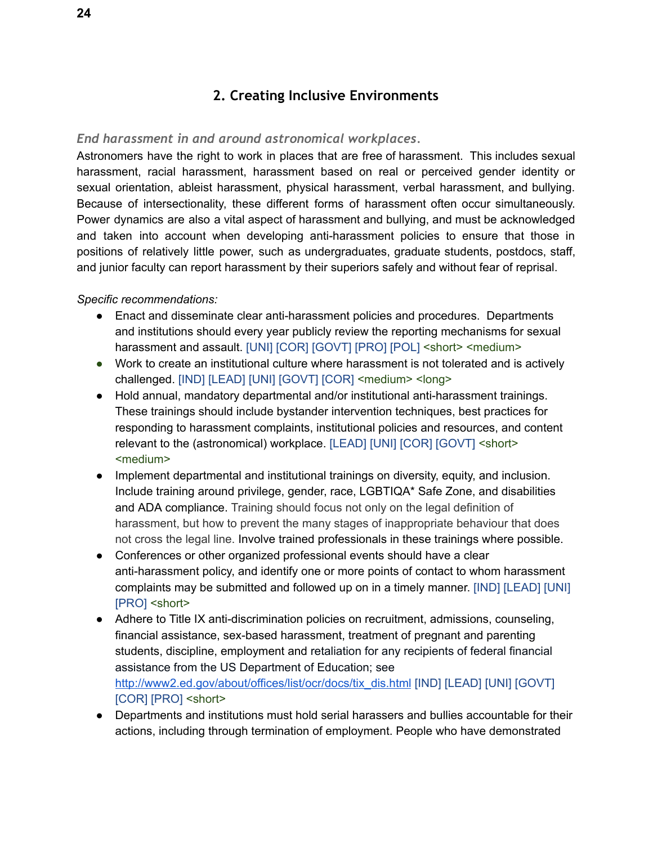## **2. Creating Inclusive Environments**

#### <span id="page-23-1"></span><span id="page-23-0"></span>*End harassment in and around astronomical workplaces.*

Astronomers have the right to work in places that are free of harassment. This includes sexual harassment, racial harassment, harassment based on real or perceived gender identity or sexual orientation, ableist harassment, physical harassment, verbal harassment, and bullying. Because of intersectionality, these different forms of harassment often occur simultaneously. Power dynamics are also a vital aspect of harassment and bullying, and must be acknowledged and taken into account when developing anti-harassment policies to ensure that those in positions of relatively little power, such as undergraduates, graduate students, postdocs, staff, and junior faculty can report harassment by their superiors safely and without fear of reprisal.

- Enact and disseminate clear anti-harassment policies and procedures. Departments and institutions should every year publicly review the reporting mechanisms for sexual harassment and assault. [UNI] [COR] [GOVT] [PRO] [POL] <short> <medium>
- Work to create an institutional culture where harassment is not tolerated and is actively challenged. [IND] [LEAD] [UNI] [GOVT] [COR] <medium> <long>
- Hold annual, mandatory departmental and/or institutional anti-harassment trainings. These trainings should include bystander intervention techniques, best practices for responding to harassment complaints, institutional policies and resources, and content relevant to the (astronomical) workplace. [LEAD] [UNI] [COR] [GOVT] <short> <medium>
- Implement departmental and institutional trainings on diversity, equity, and inclusion. Include training around privilege, gender, race, LGBTIQA\* Safe Zone, and disabilities and ADA compliance. Training should focus not only on the legal definition of harassment, but how to prevent the many stages of inappropriate behaviour that does not cross the legal line. Involve trained professionals in these trainings where possible.
- Conferences or other organized professional events should have a clear anti-harassment policy, and identify one or more points of contact to whom harassment complaints may be submitted and followed up on in a timely manner. [IND] [LEAD] [UNI] [PRO] <short>
- Adhere to Title IX anti-discrimination policies on recruitment, admissions, counseling, financial assistance, sex-based harassment, treatment of pregnant and parenting students, discipline, employment and retaliation for any recipients of federal financial assistance from the US Department of Education; see [http://www2.ed.gov/about/offices/list/ocr/docs/tix\\_dis.html](http://www2.ed.gov/about/offices/list/ocr/docs/tix_dis.html) [IND] [LEAD] [UNI] [GOVT] [COR] [PRO] <short>
- Departments and institutions must hold serial harassers and bullies accountable for their actions, including through termination of employment. People who have demonstrated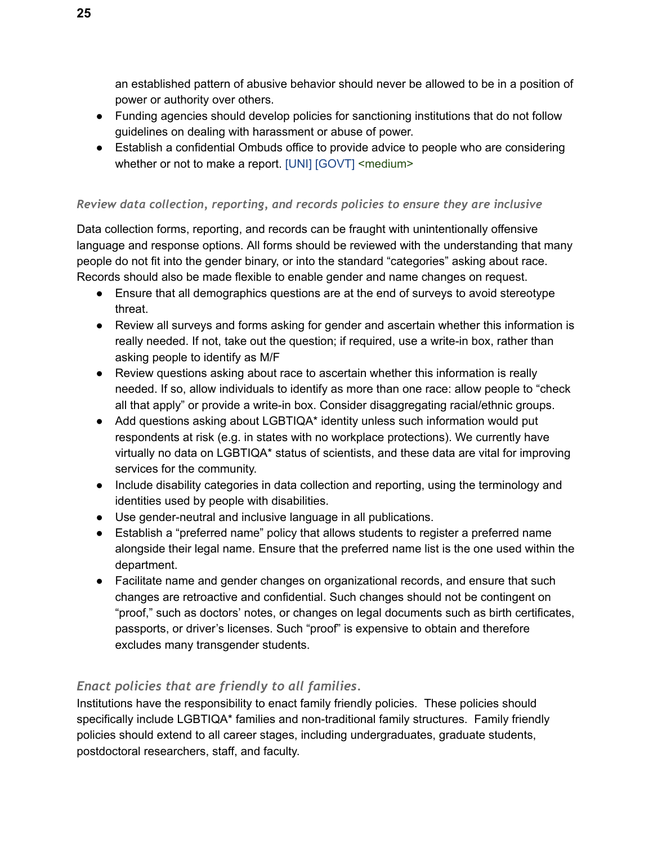an established pattern of abusive behavior should never be allowed to be in a position of power or authority over others.

- Funding agencies should develop policies for sanctioning institutions that do not follow guidelines on dealing with harassment or abuse of power.
- Establish a confidential Ombuds office to provide advice to people who are considering whether or not to make a report. [UNI] [GOVT] <medium>

#### *Review data collection, reporting, and records policies to ensure they are inclusive*

Data collection forms, reporting, and records can be fraught with unintentionally offensive language and response options. All forms should be reviewed with the understanding that many people do not fit into the gender binary, or into the standard "categories" asking about race. Records should also be made flexible to enable gender and name changes on request.

- Ensure that all demographics questions are at the end of surveys to avoid stereotype threat.
- Review all surveys and forms asking for gender and ascertain whether this information is really needed. If not, take out the question; if required, use a write-in box, rather than asking people to identify as M/F
- Review questions asking about race to ascertain whether this information is really needed. If so, allow individuals to identify as more than one race: allow people to "check all that apply" or provide a write-in box. Consider disaggregating racial/ethnic groups.
- Add questions asking about LGBTIQA<sup>\*</sup> identity unless such information would put respondents at risk (e.g. in states with no workplace protections). We currently have virtually no data on LGBTIQA\* status of scientists, and these data are vital for improving services for the community.
- Include disability categories in data collection and reporting, using the terminology and identities used by people with disabilities.
- Use gender-neutral and inclusive language in all publications.
- Establish a "preferred name" policy that allows students to register a preferred name alongside their legal name. Ensure that the preferred name list is the one used within the department.
- Facilitate name and gender changes on organizational records, and ensure that such changes are retroactive and confidential. Such changes should not be contingent on "proof," such as doctors' notes, or changes on legal documents such as birth certificates, passports, or driver's licenses. Such "proof" is expensive to obtain and therefore excludes many transgender students.

## *Enact policies that are friendly to all families.*

Institutions have the responsibility to enact family friendly policies. These policies should specifically include LGBTIQA\* families and non-traditional family structures. Family friendly policies should extend to all career stages, including undergraduates, graduate students, postdoctoral researchers, staff, and faculty.

**25**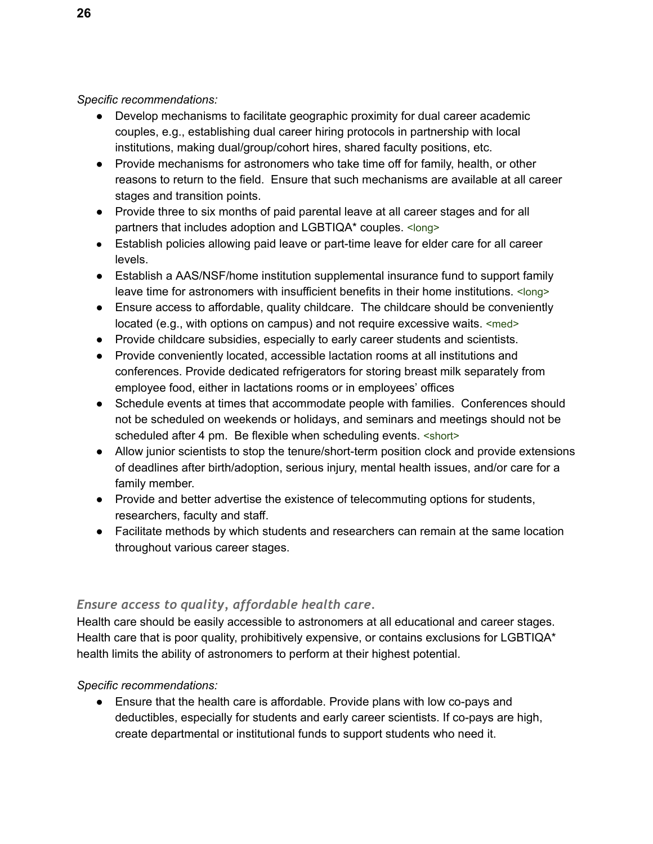*Specific recommendations:*

- Develop mechanisms to facilitate geographic proximity for dual career academic couples, e.g., establishing dual career hiring protocols in partnership with local institutions, making dual/group/cohort hires, shared faculty positions, etc.
- Provide mechanisms for astronomers who take time off for family, health, or other reasons to return to the field. Ensure that such mechanisms are available at all career stages and transition points.
- Provide three to six months of paid parental leave at all career stages and for all partners that includes adoption and LGBTIQA\* couples. <long>
- Establish policies allowing paid leave or part-time leave for elder care for all career levels.
- Establish a AAS/NSF/home institution supplemental insurance fund to support family leave time for astronomers with insufficient benefits in their home institutions. <long>
- Ensure access to affordable, quality childcare. The childcare should be conveniently located (e.g., with options on campus) and not require excessive waits. <med>
- Provide childcare subsidies, especially to early career students and scientists.
- Provide conveniently located, accessible lactation rooms at all institutions and conferences. Provide dedicated refrigerators for storing breast milk separately from employee food, either in lactations rooms or in employees' offices
- Schedule events at times that accommodate people with families. Conferences should not be scheduled on weekends or holidays, and seminars and meetings should not be scheduled after 4 pm. Be flexible when scheduling events. < short>
- Allow junior scientists to stop the tenure/short-term position clock and provide extensions of deadlines after birth/adoption, serious injury, mental health issues, and/or care for a family member.
- Provide and better advertise the existence of telecommuting options for students, researchers, faculty and staff.
- Facilitate methods by which students and researchers can remain at the same location throughout various career stages.

## <span id="page-25-0"></span>*Ensure access to quality, affordable health care.*

Health care should be easily accessible to astronomers at all educational and career stages. Health care that is poor quality, prohibitively expensive, or contains exclusions for LGBTIQA\* health limits the ability of astronomers to perform at their highest potential.

## *Specific recommendations:*

● Ensure that the health care is affordable. Provide plans with low co-pays and deductibles, especially for students and early career scientists. If co-pays are high, create departmental or institutional funds to support students who need it.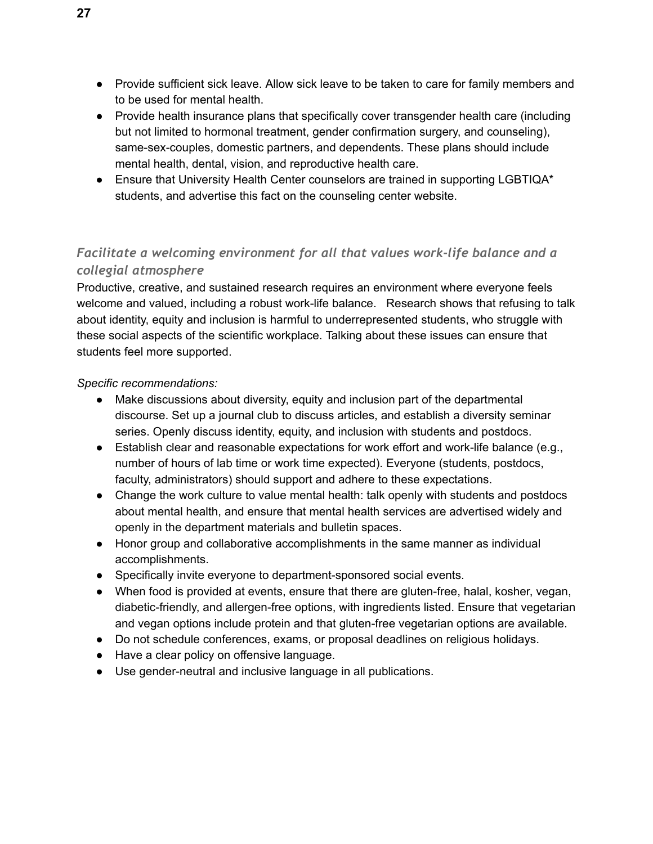- Provide sufficient sick leave. Allow sick leave to be taken to care for family members and to be used for mental health.
- Provide health insurance plans that specifically cover transgender health care (including but not limited to hormonal treatment, gender confirmation surgery, and counseling), same-sex-couples, domestic partners, and dependents. These plans should include mental health, dental, vision, and reproductive health care.
- Ensure that University Health Center counselors are trained in supporting LGBTIQA\* students, and advertise this fact on the counseling center website.

## <span id="page-26-0"></span>*Facilitate a welcoming environment for all that values work-life balance and a collegial atmosphere*

Productive, creative, and sustained research requires an environment where everyone feels welcome and valued, including a robust work-life balance. Research shows that refusing to talk about identity, equity and inclusion is harmful to underrepresented students, who struggle with these social aspects of the scientific workplace. Talking about these issues can ensure that students feel more supported.

- Make discussions about diversity, equity and inclusion part of the departmental discourse. Set up a journal club to discuss articles, and establish a diversity seminar series. Openly discuss identity, equity, and inclusion with students and postdocs.
- $\bullet$  Establish clear and reasonable expectations for work effort and work-life balance (e.g., number of hours of lab time or work time expected). Everyone (students, postdocs, faculty, administrators) should support and adhere to these expectations.
- Change the work culture to value mental health: talk openly with students and postdocs about mental health, and ensure that mental health services are advertised widely and openly in the department materials and bulletin spaces.
- Honor group and collaborative accomplishments in the same manner as individual accomplishments.
- Specifically invite everyone to department-sponsored social events.
- When food is provided at events, ensure that there are gluten-free, halal, kosher, vegan, diabetic-friendly, and allergen-free options, with ingredients listed. Ensure that vegetarian and vegan options include protein and that gluten-free vegetarian options are available.
- Do not schedule conferences, exams, or proposal deadlines on religious holidays.
- Have a clear policy on offensive language.
- Use gender-neutral and inclusive language in all publications.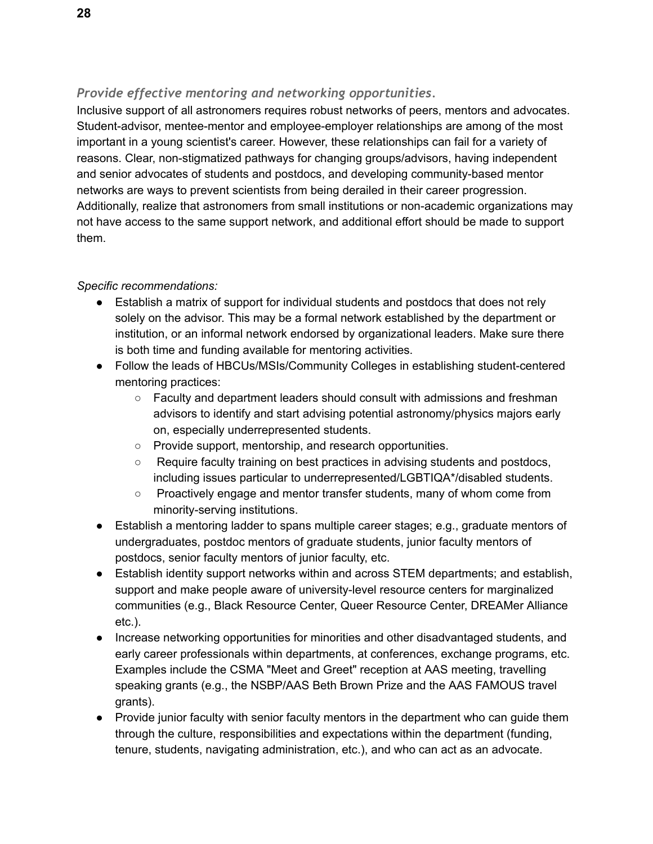## <span id="page-27-0"></span>*Provide effective mentoring and networking opportunities.*

Inclusive support of all astronomers requires robust networks of peers, mentors and advocates. Student-advisor, mentee-mentor and employee-employer relationships are among of the most important in a young scientist's career. However, these relationships can fail for a variety of reasons. Clear, non-stigmatized pathways for changing groups/advisors, having independent and senior advocates of students and postdocs, and developing community-based mentor networks are ways to prevent scientists from being derailed in their career progression. Additionally, realize that astronomers from small institutions or non-academic organizations may not have access to the same support network, and additional effort should be made to support them.

- Establish a matrix of support for individual students and postdocs that does not rely solely on the advisor. This may be a formal network established by the department or institution, or an informal network endorsed by organizational leaders. Make sure there is both time and funding available for mentoring activities.
- Follow the leads of HBCUs/MSIs/Community Colleges in establishing student-centered mentoring practices:
	- Faculty and department leaders should consult with admissions and freshman advisors to identify and start advising potential astronomy/physics majors early on, especially underrepresented students.
	- Provide support, mentorship, and research opportunities.
	- Require faculty training on best practices in advising students and postdocs, including issues particular to underrepresented/LGBTIQA\*/disabled students.
	- Proactively engage and mentor transfer students, many of whom come from minority-serving institutions.
- Establish a mentoring ladder to spans multiple career stages; e.g., graduate mentors of undergraduates, postdoc mentors of graduate students, junior faculty mentors of postdocs, senior faculty mentors of junior faculty, etc.
- Establish identity support networks within and across STEM departments; and establish, support and make people aware of university-level resource centers for marginalized communities (e.g., Black Resource Center, Queer Resource Center, DREAMer Alliance etc.).
- Increase networking opportunities for minorities and other disadvantaged students, and early career professionals within departments, at conferences, exchange programs, etc. Examples include the CSMA "Meet and Greet" reception at AAS meeting, travelling speaking grants (e.g., the NSBP/AAS Beth Brown Prize and the AAS FAMOUS travel grants).
- Provide junior faculty with senior faculty mentors in the department who can guide them through the culture, responsibilities and expectations within the department (funding, tenure, students, navigating administration, etc.), and who can act as an advocate.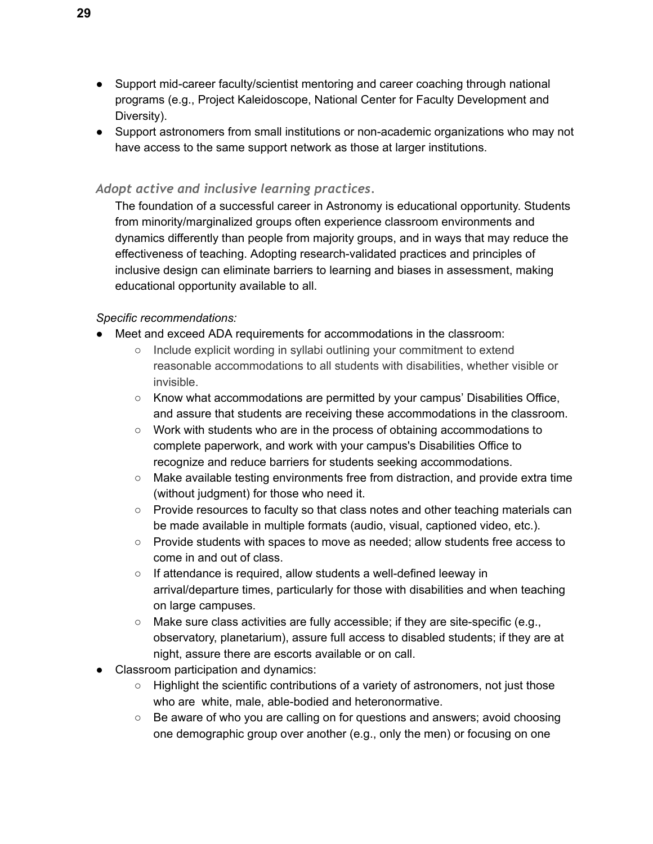- Support mid-career faculty/scientist mentoring and career coaching through national programs (e.g., Project Kaleidoscope, National Center for Faculty Development and Diversity).
- Support astronomers from small institutions or non-academic organizations who may not have access to the same support network as those at larger institutions.

#### <span id="page-28-0"></span>*Adopt active and inclusive learning practices.*

The foundation of a successful career in Astronomy is educational opportunity. Students from minority/marginalized groups often experience classroom environments and dynamics differently than people from majority groups, and in ways that may reduce the effectiveness of teaching. Adopting research-validated practices and principles of inclusive design can eliminate barriers to learning and biases in assessment, making educational opportunity available to all.

- Meet and exceed ADA requirements for accommodations in the classroom:
	- Include explicit wording in syllabi outlining your commitment to extend reasonable accommodations to all students with disabilities, whether visible or invisible.
	- Know what accommodations are permitted by your campus' Disabilities Office, and assure that students are receiving these accommodations in the classroom.
	- Work with students who are in the process of obtaining accommodations to complete paperwork, and work with your campus's Disabilities Office to recognize and reduce barriers for students seeking accommodations.
	- $\circ$  Make available testing environments free from distraction, and provide extra time (without judgment) for those who need it.
	- Provide resources to faculty so that class notes and other teaching materials can be made available in multiple formats (audio, visual, captioned video, etc.).
	- Provide students with spaces to move as needed; allow students free access to come in and out of class.
	- If attendance is required, allow students a well-defined leeway in arrival/departure times, particularly for those with disabilities and when teaching on large campuses.
	- $\circ$  Make sure class activities are fully accessible; if they are site-specific (e.g., observatory, planetarium), assure full access to disabled students; if they are at night, assure there are escorts available or on call.
- Classroom participation and dynamics:
	- Highlight the scientific contributions of a variety of astronomers, not just those who are white, male, able-bodied and heteronormative.
	- Be aware of who you are calling on for questions and answers; avoid choosing one demographic group over another (e.g., only the men) or focusing on one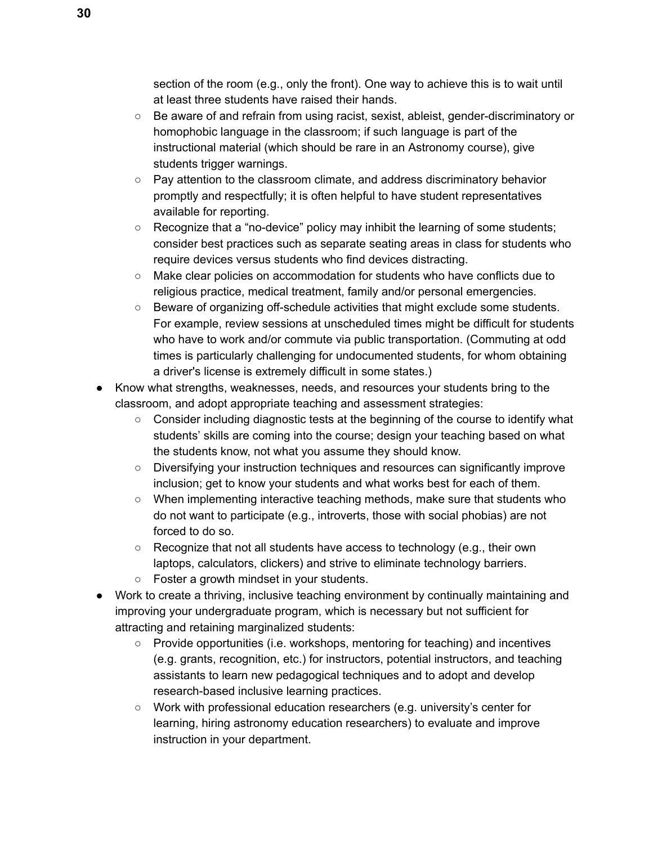section of the room (e.g., only the front). One way to achieve this is to wait until at least three students have raised their hands.

- Be aware of and refrain from using racist, sexist, ableist, gender-discriminatory or homophobic language in the classroom; if such language is part of the instructional material (which should be rare in an Astronomy course), give students trigger warnings.
- $\circ$  Pay attention to the classroom climate, and address discriminatory behavior promptly and respectfully; it is often helpful to have student representatives available for reporting.
- Recognize that a "no-device" policy may inhibit the learning of some students; consider best practices such as separate seating areas in class for students who require devices versus students who find devices distracting.
- Make clear policies on accommodation for students who have conflicts due to religious practice, medical treatment, family and/or personal emergencies.
- Beware of organizing off-schedule activities that might exclude some students. For example, review sessions at unscheduled times might be difficult for students who have to work and/or commute via public transportation. (Commuting at odd times is particularly challenging for undocumented students, for whom obtaining a driver's license is extremely difficult in some states.)
- Know what strengths, weaknesses, needs, and resources your students bring to the classroom, and adopt appropriate teaching and assessment strategies:
	- $\circ$  Consider including diagnostic tests at the beginning of the course to identify what students' skills are coming into the course; design your teaching based on what the students know, not what you assume they should know.
	- Diversifying your instruction techniques and resources can significantly improve inclusion; get to know your students and what works best for each of them.
	- When implementing interactive teaching methods, make sure that students who do not want to participate (e.g., introverts, those with social phobias) are not forced to do so.
	- Recognize that not all students have access to technology (e.g., their own laptops, calculators, clickers) and strive to eliminate technology barriers.
	- Foster a growth mindset in your students.
- Work to create a thriving, inclusive teaching environment by continually maintaining and improving your undergraduate program, which is necessary but not sufficient for attracting and retaining marginalized students:
	- Provide opportunities (i.e. workshops, mentoring for teaching) and incentives (e.g. grants, recognition, etc.) for instructors, potential instructors, and teaching assistants to learn new pedagogical techniques and to adopt and develop research-based inclusive learning practices.
	- Work with professional education researchers (e.g. university's center for learning, hiring astronomy education researchers) to evaluate and improve instruction in your department.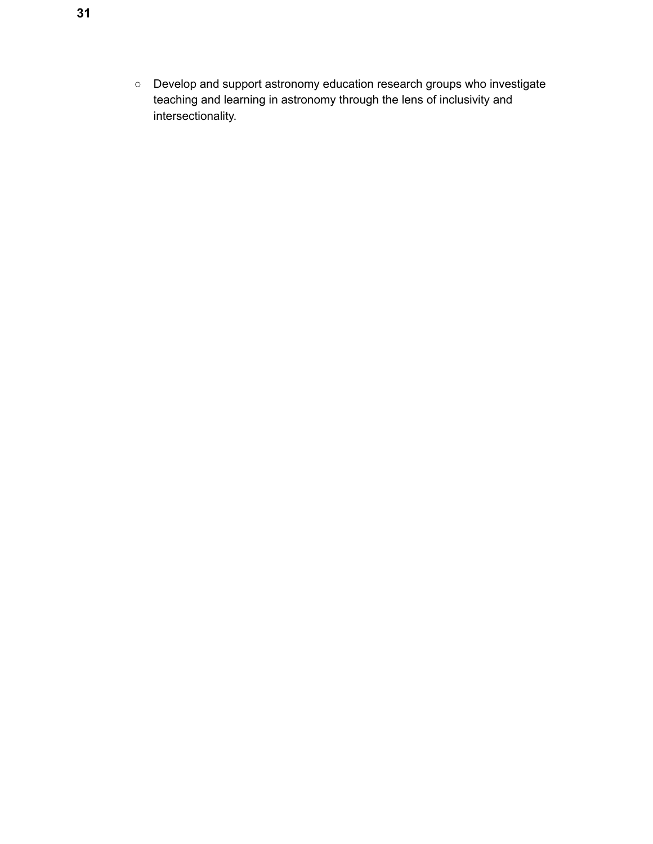○ Develop and support astronomy education research groups who investigate teaching and learning in astronomy through the lens of inclusivity and intersectionality.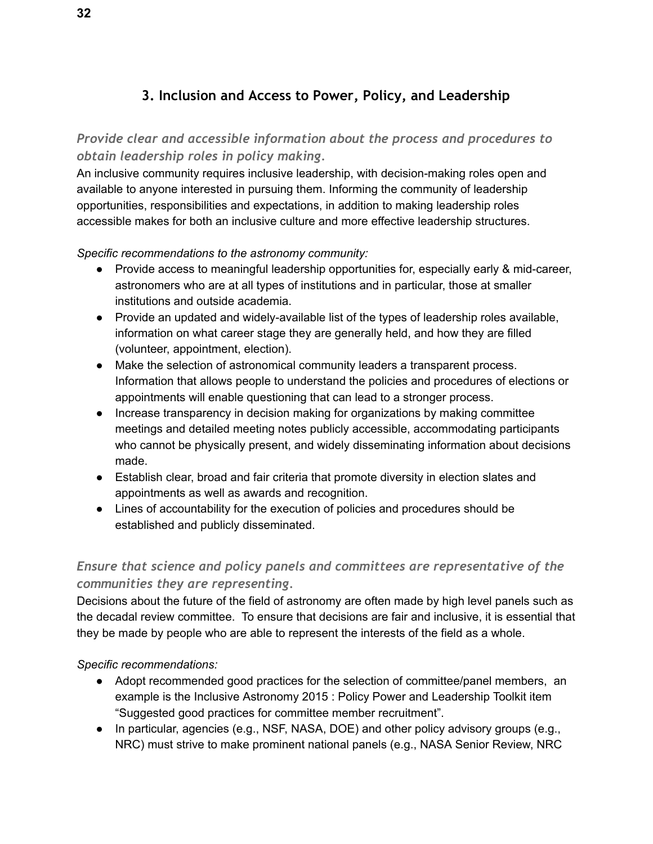## **3. Inclusion and Access to Power, Policy, and Leadership**

## <span id="page-31-1"></span><span id="page-31-0"></span>*Provide clear and accessible information about the process and procedures to obtain leadership roles in policy making.*

An inclusive community requires inclusive leadership, with decision-making roles open and available to anyone interested in pursuing them. Informing the community of leadership opportunities, responsibilities and expectations, in addition to making leadership roles accessible makes for both an inclusive culture and more effective leadership structures.

#### *Specific recommendations to the astronomy community:*

- Provide access to meaningful leadership opportunities for, especially early & mid-career, astronomers who are at all types of institutions and in particular, those at smaller institutions and outside academia.
- Provide an updated and widely-available list of the types of leadership roles available, information on what career stage they are generally held, and how they are filled (volunteer, appointment, election).
- Make the selection of astronomical community leaders a transparent process. Information that allows people to understand the policies and procedures of elections or appointments will enable questioning that can lead to a stronger process.
- Increase transparency in decision making for organizations by making committee meetings and detailed meeting notes publicly accessible, accommodating participants who cannot be physically present, and widely disseminating information about decisions made.
- Establish clear, broad and fair criteria that promote diversity in election slates and appointments as well as awards and recognition.
- Lines of accountability for the execution of policies and procedures should be established and publicly disseminated.

## <span id="page-31-2"></span>*Ensure that science and policy panels and committees are representative of the communities they are representing.*

Decisions about the future of the field of astronomy are often made by high level panels such as the decadal review committee. To ensure that decisions are fair and inclusive, it is essential that they be made by people who are able to represent the interests of the field as a whole.

- Adopt recommended good practices for the selection of committee/panel members, an example is the Inclusive Astronomy 2015 : Policy Power and Leadership Toolkit item "Suggested good practices for committee member recruitment".
- In particular, agencies (e.g., NSF, NASA, DOE) and other policy advisory groups (e.g., NRC) must strive to make prominent national panels (e.g., NASA Senior Review, NRC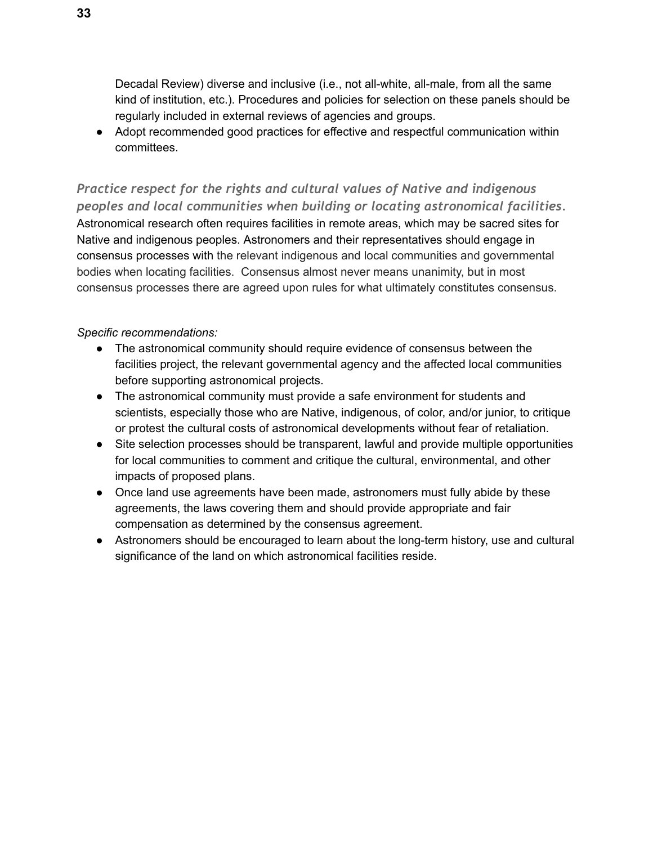Decadal Review) diverse and inclusive (i.e., not all-white, all-male, from all the same kind of institution, etc.). Procedures and policies for selection on these panels should be regularly included in external reviews of agencies and groups.

● Adopt recommended good practices for effective and respectful communication within committees.

<span id="page-32-0"></span>*Practice respect for the rights and cultural values of Native and indigenous peoples and local communities when building or locating astronomical facilities.*  Astronomical research often requires facilities in remote areas, which may be sacred sites for Native and indigenous peoples. Astronomers and their representatives should engage in consensus processes with the relevant indigenous and local communities and governmental bodies when locating facilities. Consensus almost never means unanimity, but in most consensus processes there are agreed upon rules for what ultimately constitutes consensus.

- The astronomical community should require evidence of consensus between the facilities project, the relevant governmental agency and the affected local communities before supporting astronomical projects.
- The astronomical community must provide a safe environment for students and scientists, especially those who are Native, indigenous, of color, and/or junior, to critique or protest the cultural costs of astronomical developments without fear of retaliation.
- Site selection processes should be transparent, lawful and provide multiple opportunities for local communities to comment and critique the cultural, environmental, and other impacts of proposed plans.
- Once land use agreements have been made, astronomers must fully abide by these agreements, the laws covering them and should provide appropriate and fair compensation as determined by the consensus agreement.
- Astronomers should be encouraged to learn about the long-term history, use and cultural significance of the land on which astronomical facilities reside.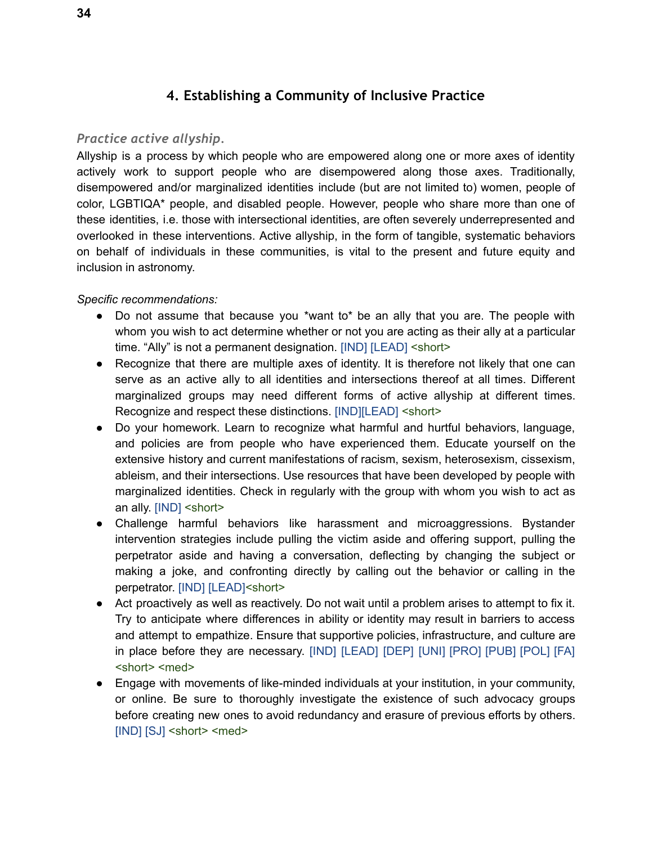## **4. Establishing a Community of Inclusive Practice**

#### <span id="page-33-1"></span><span id="page-33-0"></span>*Practice active allyship.*

Allyship is a process by which people who are empowered along one or more axes of identity actively work to support people who are disempowered along those axes. Traditionally, disempowered and/or marginalized identities include (but are not limited to) women, people of color, LGBTIQA\* people, and disabled people. However, people who share more than one of these identities, i.e. those with intersectional identities, are often severely underrepresented and overlooked in these interventions. Active allyship, in the form of tangible, systematic behaviors on behalf of individuals in these communities, is vital to the present and future equity and inclusion in astronomy.

- Do not assume that because you \*want to\* be an ally that you are. The people with whom you wish to act determine whether or not you are acting as their ally at a particular time. "Ally" is not a permanent designation. [IND] [LEAD] <short>
- Recognize that there are multiple axes of identity. It is therefore not likely that one can serve as an active ally to all identities and intersections thereof at all times. Different marginalized groups may need different forms of active allyship at different times. Recognize and respect these distinctions. [IND][LEAD] <short>
- Do your homework. Learn to recognize what harmful and hurtful behaviors, language, and policies are from people who have experienced them. Educate yourself on the extensive history and current manifestations of racism, sexism, heterosexism, cissexism, ableism, and their intersections. Use resources that have been developed by people with marginalized identities. Check in regularly with the group with whom you wish to act as an ally. [IND] <short>
- Challenge harmful behaviors like harassment and microaggressions. Bystander intervention strategies include pulling the victim aside and offering support, pulling the perpetrator aside and having a conversation, deflecting by changing the subject or making a joke, and confronting directly by calling out the behavior or calling in the perpetrator. [IND] [LEAD]<short>
- Act proactively as well as reactively. Do not wait until a problem arises to attempt to fix it. Try to anticipate where differences in ability or identity may result in barriers to access and attempt to empathize. Ensure that supportive policies, infrastructure, and culture are in place before they are necessary. [IND] [LEAD] [DEP] [UNI] [PRO] [PUB] [POL] [FA] <short> <med>
- Engage with movements of like-minded individuals at your institution, in your community, or online. Be sure to thoroughly investigate the existence of such advocacy groups before creating new ones to avoid redundancy and erasure of previous efforts by others. [IND] [SJ] <short> <med>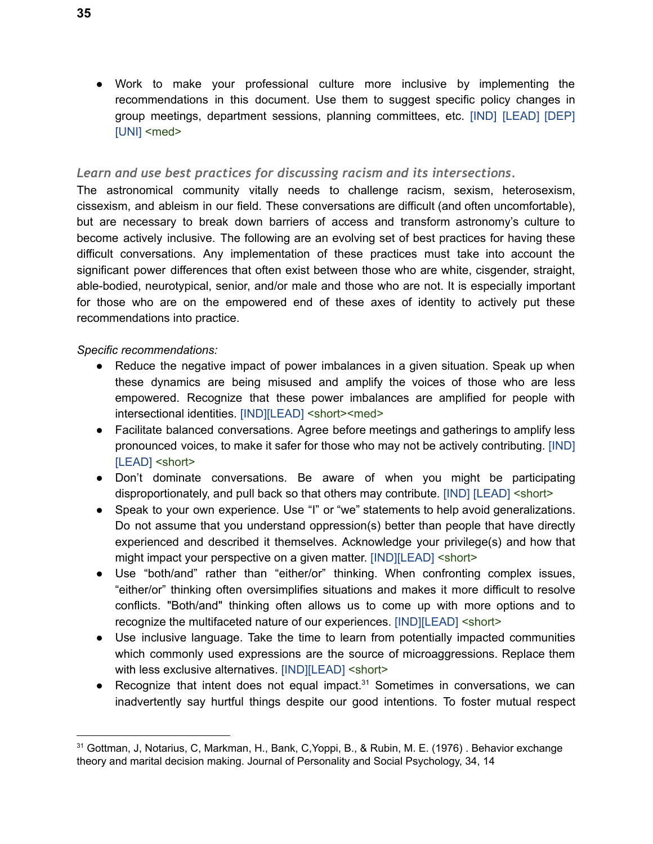● Work to make your professional culture more inclusive by implementing the recommendations in this document. Use them to suggest specific policy changes in group meetings, department sessions, planning committees, etc. [IND] [LEAD] [DEP] [UNI] <med>

#### <span id="page-34-0"></span>*Learn and use best practices for discussing racism and its intersections.*

The astronomical community vitally needs to challenge racism, sexism, heterosexism, cissexism, and ableism in our field. These conversations are difficult (and often uncomfortable), but are necessary to break down barriers of access and transform astronomy's culture to become actively inclusive. The following are an evolving set of best practices for having these difficult conversations. Any implementation of these practices must take into account the significant power differences that often exist between those who are white, cisgender, straight, able-bodied, neurotypical, senior, and/or male and those who are not. It is especially important for those who are on the empowered end of these axes of identity to actively put these recommendations into practice.

- Reduce the negative impact of power imbalances in a given situation. Speak up when these dynamics are being misused and amplify the voices of those who are less empowered. Recognize that these power imbalances are amplified for people with intersectional identities. [IND][LEAD] <short><med>
- Facilitate balanced conversations. Agree before meetings and gatherings to amplify less pronounced voices, to make it safer for those who may not be actively contributing. [IND] [LEAD] <short>
- Don't dominate conversations. Be aware of when you might be participating disproportionately, and pull back so that others may contribute. [IND] [LEAD] <short>
- Speak to your own experience. Use "I" or "we" statements to help avoid generalizations. Do not assume that you understand oppression(s) better than people that have directly experienced and described it themselves. Acknowledge your privilege(s) and how that might impact your perspective on a given matter. [IND][LEAD] <short>
- Use "both/and" rather than "either/or" thinking. When confronting complex issues, "either/or" thinking often oversimplifies situations and makes it more difficult to resolve conflicts. "Both/and" thinking often allows us to come up with more options and to recognize the multifaceted nature of our experiences. [IND][LEAD] <short>
- Use inclusive language. Take the time to learn from potentially impacted communities which commonly used expressions are the source of microaggressions. Replace them with less exclusive alternatives. [IND][LEAD] <short>
- Recognize that intent does not equal impact. $31$  Sometimes in conversations, we can inadvertently say hurtful things despite our good intentions. To foster mutual respect

<sup>31</sup> Gottman, J, Notarius, C, Markman, H., Bank, C,Yoppi, B., & Rubin, M. E. (1976) . Behavior exchange theory and marital decision making. Journal of Personality and Social Psychology, 34, 14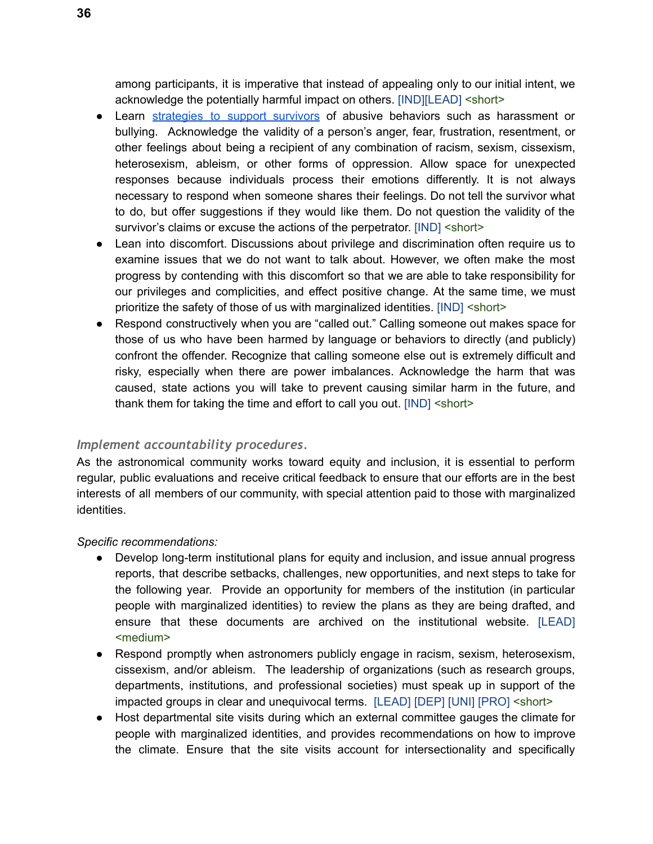among participants, it is imperative that instead of appealing only to our initial intent, we acknowledge the potentially harmful impact on others. [IND][LEAD] <short>

- Learn [strategies](http://knowyourix.org/i-want-to/support-survivor/) to support survivors of abusive behaviors such as harassment or bullying. Acknowledge the validity of a person's anger, fear, frustration, resentment, or other feelings about being a recipient of any combination of racism, sexism, cissexism, heterosexism, ableism, or other forms of oppression. Allow space for unexpected responses because individuals process their emotions differently. It is not always necessary to respond when someone shares their feelings. Do not tell the survivor what to do, but offer suggestions if they would like them. Do not question the validity of the survivor's claims or excuse the actions of the perpetrator. [IND] <short>
- Lean into discomfort. Discussions about privilege and discrimination often require us to examine issues that we do not want to talk about. However, we often make the most progress by contending with this discomfort so that we are able to take responsibility for our privileges and complicities, and effect positive change. At the same time, we must prioritize the safety of those of us with marginalized identities. [IND] <short>
- Respond constructively when you are "called out." Calling someone out makes space for those of us who have been harmed by language or behaviors to directly (and publicly) confront the offender. Recognize that calling someone else out is extremely difficult and risky, especially when there are power imbalances. Acknowledge the harm that was caused, state actions you will take to prevent causing similar harm in the future, and thank them for taking the time and effort to call you out. [IND] <short>

#### <span id="page-35-0"></span>*Implement accountability procedures.*

As the astronomical community works toward equity and inclusion, it is essential to perform regular, public evaluations and receive critical feedback to ensure that our efforts are in the best interests of all members of our community, with special attention paid to those with marginalized identities.

- Develop long-term institutional plans for equity and inclusion, and issue annual progress reports, that describe setbacks, challenges, new opportunities, and next steps to take for the following year. Provide an opportunity for members of the institution (in particular people with marginalized identities) to review the plans as they are being drafted, and ensure that these documents are archived on the institutional website. [LEAD] <medium>
- Respond promptly when astronomers publicly engage in racism, sexism, heterosexism, cissexism, and/or ableism. The leadership of organizations (such as research groups, departments, institutions, and professional societies) must speak up in support of the impacted groups in clear and unequivocal terms. [LEAD] [DEP] [UNI] [PRO] <short>
- Host departmental site visits during which an external committee gauges the climate for people with marginalized identities, and provides recommendations on how to improve the climate. Ensure that the site visits account for intersectionality and specifically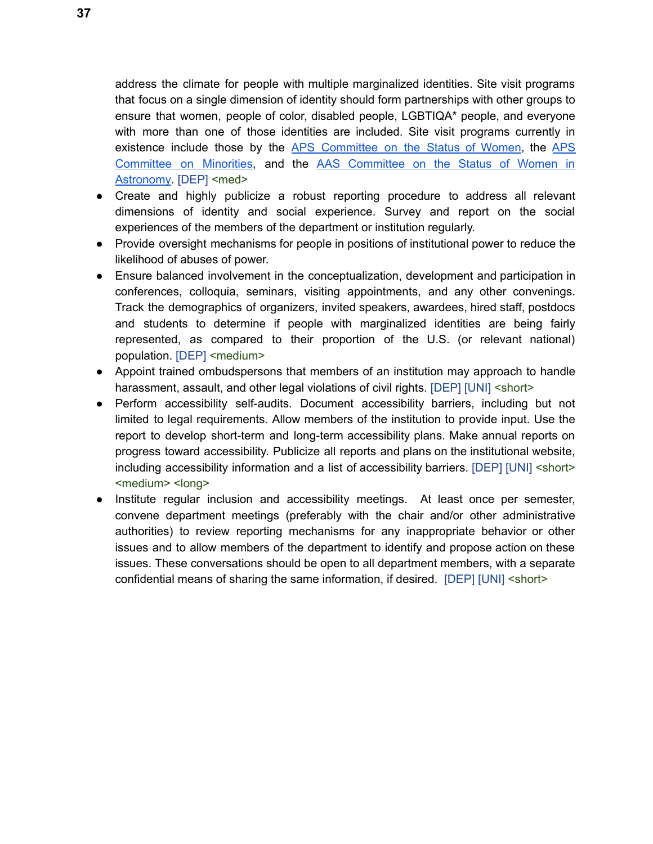address the climate for people with multiple marginalized identities. Site visit programs that focus on a single dimension of identity should form partnerships with other groups to ensure that women, people of color, disabled people, LGBTIQA\* people, and everyone with more than one of those identities are included. Site visit programs currently in existence include those by the APS [Committee](http://www.aps.org/programs/women/sitevisits/summary.cfm) on the Status of Women, the [APS](http://www.aps.org/programs/minorities/sitevisits.cfm) [Committee](http://www.aas.org/cswa/SiteVisits-policy.pdf) on Minorities, and the AAS Committee on the Status of Women in [Astronomy](http://www.aas.org/cswa/SiteVisits-policy.pdf). [DEP] <med>

- Create and highly publicize a robust reporting procedure to address all relevant dimensions of identity and social experience. Survey and report on the social experiences of the members of the department or institution regularly.
- Provide oversight mechanisms for people in positions of institutional power to reduce the likelihood of abuses of power.
- Ensure balanced involvement in the conceptualization, development and participation in conferences, colloquia, seminars, visiting appointments, and any other convenings. Track the demographics of organizers, invited speakers, awardees, hired staff, postdocs and students to determine if people with marginalized identities are being fairly represented, as compared to their proportion of the U.S. (or relevant national) population. [DEP] <medium>
- Appoint trained ombudspersons that members of an institution may approach to handle harassment, assault, and other legal violations of civil rights. [DEP] [UNI] < short>
- Perform accessibility self-audits. Document accessibility barriers, including but not limited to legal requirements. Allow members of the institution to provide input. Use the report to develop short-term and long-term accessibility plans. Make annual reports on progress toward accessibility. Publicize all reports and plans on the institutional website, including accessibility information and a list of accessibility barriers. [DEP] [UNI] <short> <medium> <long>
- Institute regular inclusion and accessibility meetings. At least once per semester, convene department meetings (preferably with the chair and/or other administrative authorities) to review reporting mechanisms for any inappropriate behavior or other issues and to allow members of the department to identify and propose action on these issues. These conversations should be open to all department members, with a separate confidential means of sharing the same information, if desired. [DEP] [UNI] <short>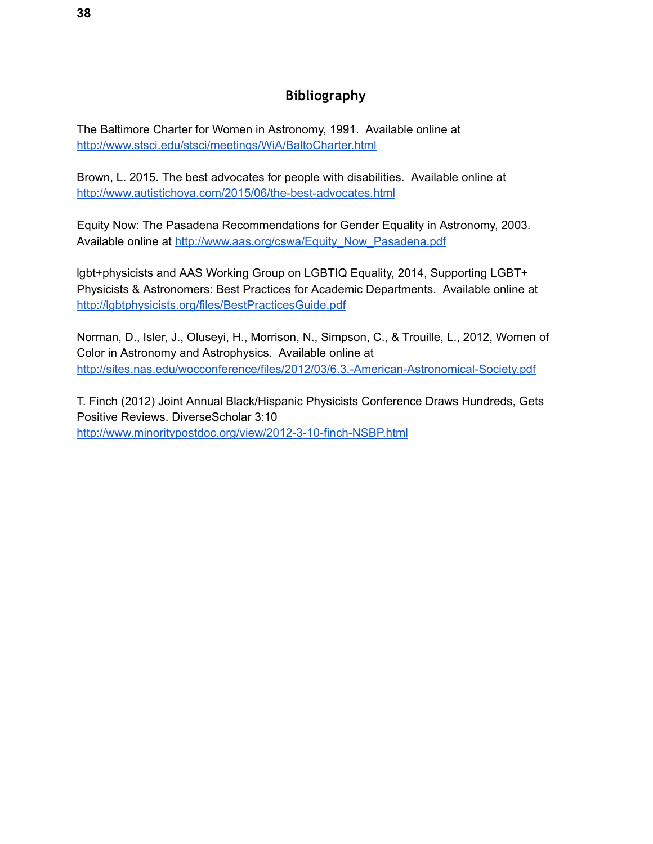## **Bibliography**

<span id="page-37-0"></span>The Baltimore Charter for Women in Astronomy, 1991. Available online at <http://www.stsci.edu/stsci/meetings/WiA/BaltoCharter.html>

Brown, L. 2015. The best advocates for people with disabilities. Available online at <http://www.autistichoya.com/2015/06/the-best-advocates.html>

Equity Now: The Pasadena Recommendations for Gender Equality in Astronomy, 2003. Available online at [http://www.aas.org/cswa/Equity\\_Now\\_Pasadena.pdf](http://www.aas.org/cswa/Equity_Now_Pasadena.pdf)

lgbt+physicists and AAS Working Group on LGBTIQ Equality, 2014, Supporting LGBT+ Physicists & Astronomers: Best Practices for Academic Departments. Available online at <http://lgbtphysicists.org/files/BestPracticesGuide.pdf>

Norman, D., Isler, J., Oluseyi, H., Morrison, N., Simpson, C., & Trouille, L., 2012, Women of Color in Astronomy and Astrophysics. Available online at <http://sites.nas.edu/wocconference/files/2012/03/6.3.-American-Astronomical-Society.pdf>

T. Finch (2012) Joint Annual Black/Hispanic Physicists Conference Draws Hundreds, Gets Positive Reviews. DiverseScholar 3:10 <http://www.minoritypostdoc.org/view/2012-3-10-finch-NSBP.html>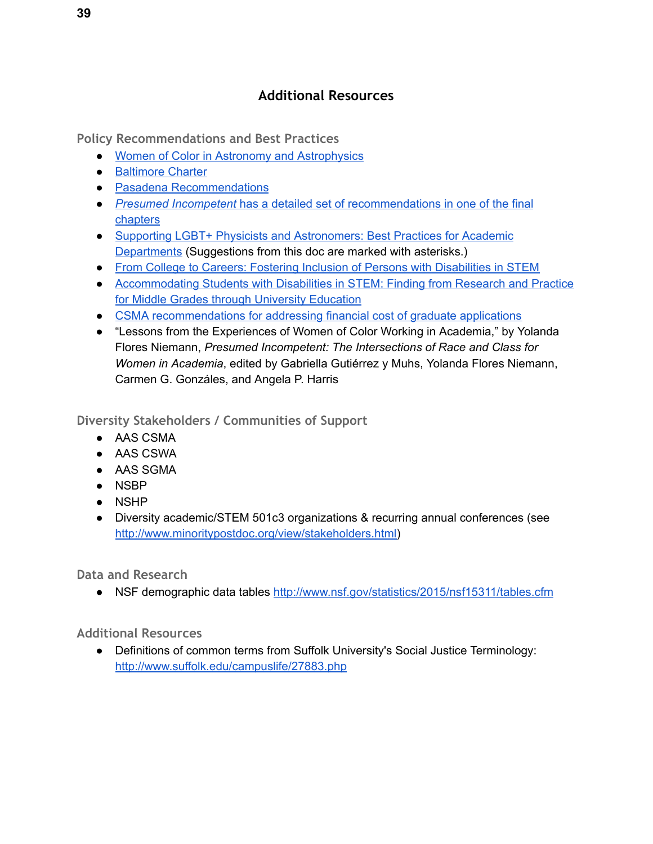## **Additional Resources**

<span id="page-38-1"></span><span id="page-38-0"></span>**Policy Recommendations and Best Practices** 

- Women of Color in Astronomy and [Astrophysics](http://womeninastronomy.blogspot.com/2015/01/women-of-color-in-astronomy-and.html)
- [Baltimore](http://www.stsci.edu/stsci/meetings/WiA/BaltoCharter.html) Charter
- Pasadena [Recommendations](http://www.aas.org/cswa/pasadenarecs.html)
- *● Presumed [Incompetent](http://www.amazon.com/Presumed-Incompetent-Intersections-Class-Academia/dp/0874219221)* has a detailed set of [recommendations](http://www.amazon.com/Presumed-Incompetent-Intersections-Class-Academia/dp/0874219221) in one of the final [chapters](http://www.amazon.com/Presumed-Incompetent-Intersections-Class-Academia/dp/0874219221)
- Supporting LGBT+ Physicists and [Astronomers:](http://lgbtphysicists.org/files/BestPracticesGuide.pdf) Best Practices for Academic [Departments](http://lgbtphysicists.org/files/BestPracticesGuide.pdf) (Suggestions from this doc are marked with asterisks.)
- From College to Careers: Fostering Inclusion of Persons with [Disabilities](http://www.sciencemag.org/site/products/collegetocareers/CtC_full.pdf) in STEM
- [Accommodating](http://www.catea.gatech.edu/scitrain/accommodating.pdf) Students with Disabilities in STEM: Finding from Research and Practice for Middle Grades through University [Education](http://www.catea.gatech.edu/scitrain/accommodating.pdf)
- CSMA [recommendations](https://docs.google.com/document/d/1WpusxYGxjtRLCqvCwWKjYzHuOj8ECOdXFJkG8WkZ1sw/edit?usp=sharing) for addressing financial cost of graduate applications
- "Lessons from the Experiences of Women of Color Working in Academia," by Yolanda Flores Niemann, *Presumed Incompetent: The Intersections of Race and Class for Women in Academia*, edited by Gabriella Gutiérrez y Muhs, Yolanda Flores Niemann, Carmen G. Gonzáles, and Angela P. Harris

<span id="page-38-2"></span>**Diversity Stakeholders / Communities of Support** 

- AAS CSMA
- AAS CSWA
- AAS SGMA
- NSBP
- NSHP
- Diversity academic/STEM 501c3 organizations & recurring annual conferences (see [http://www.minoritypostdoc.org/view/stakeholders.html\)](http://www.minoritypostdoc.org/view/stakeholders.html)

<span id="page-38-3"></span>**Data and Research** 

● NSF demographic data tables <http://www.nsf.gov/statistics/2015/nsf15311/tables.cfm>

<span id="page-38-4"></span>**Additional Resources** 

● Definitions of common terms from Suffolk University's Social Justice Terminology: <http://www.suffolk.edu/campuslife/27883.php>